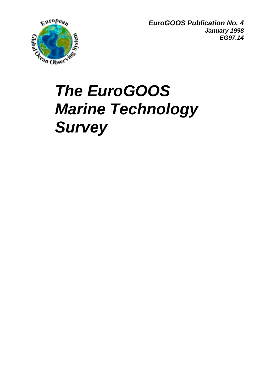

*EuroGOOS Publication No. 4 January 1998 EG97.14*

# *The EuroGOOS Marine Technology Survey*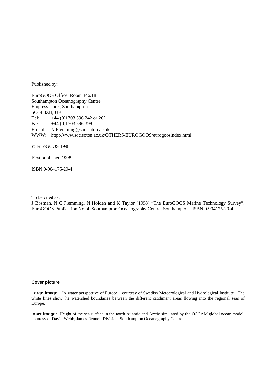Published by:

EuroGOOS Office, Room 346/18 Southampton Oceanography Centre Empress Dock, Southampton SO14 3ZH, UK Tel: +44 (0)1703 596 242 or 262 Fax: +44 (0)1703 596 399 E-mail: N.Flemming@soc.soton.ac.uk WWW: http://www.soc.soton.ac.uk/OTHERS/EUROGOOS/eurogoosindex.html

© EuroGOOS 1998

First published 1998

ISBN 0-904175-29-4

To be cited as:

J Bosman, N C Flemming, N Holden and K Taylor (1998) "The EuroGOOS Marine Technology Survey", EuroGOOS Publication No. 4, Southampton Oceanography Centre, Southampton. ISBN 0-904175-29-4

#### **Cover picture**

**Large image:** "A water perspective of Europe", courtesy of Swedish Meteorological and Hydrological Institute. The white lines show the watershed boundaries between the different catchment areas flowing into the regional seas of Europe.

**Inset image:** Height of the sea surface in the north Atlantic and Arctic simulated by the OCCAM global ocean model, courtesy of David Webb, James Rennell Division, Southampton Oceanography Centre.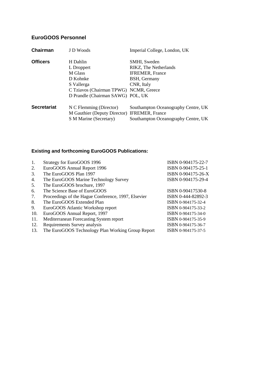# **EuroGOOS Personnel**

| Chairman           | J D Woods                                    | Imperial College, London, UK        |
|--------------------|----------------------------------------------|-------------------------------------|
| <b>Officers</b>    | H Dahlin                                     | SMHI, Sweden                        |
|                    | L Droppert                                   | RIKZ, The Netherlands               |
|                    | M Glass                                      | <b>IFREMER, France</b>              |
|                    | D Kohnke                                     | BSH, Germany                        |
|                    | S Vallerga                                   | CNR, Italy                          |
|                    | C Tziavos (Chairman TPWG) NCMR, Greece       |                                     |
|                    | D Prandle (Chairman SAWG) POL, UK            |                                     |
| <b>Secretariat</b> | N C Flemming (Director)                      | Southampton Oceanography Centre, UK |
|                    | M Gauthier (Deputy Director) IFREMER, France |                                     |
|                    | S M Marine (Secretary)                       | Southampton Oceanography Centre, UK |

# **Existing and forthcoming EuroGOOS Publications:**

| 1.  | Strategy for EuroGOOS 1996                          | ISBN 0-904175-22-7 |
|-----|-----------------------------------------------------|--------------------|
| 2.  | EuroGOOS Annual Report 1996                         | ISBN 0-904175-25-1 |
| 3.  | The EuroGOOS Plan 1997                              | ISBN 0-904175-26-X |
| 4.  | The EuroGOOS Marine Technology Survey               | ISBN 0-904175-29-4 |
| 5.  | The EuroGOOS brochure, 1997                         |                    |
| 6.  | The Science Base of EuroGOOS                        | ISBN 0-90417530-8  |
| 7.  | Proceedings of the Hague Conference, 1997, Elsevier | ISBN 0-444-82892-3 |
| 8.  | The EuroGOOS Extended Plan                          | ISBN 0-904175-32-4 |
| 9.  | EuroGOOS Atlantic Workshop report                   | ISBN 0-904175-33-2 |
| 10. | EuroGOOS Annual Report, 1997                        | ISBN 0-904175-34-0 |
| 11. | Mediterranean Forecasting System report             | ISBN 0-904175-35-9 |
| 12. | Requirements Survey analysis                        | ISBN 0-904175-36-7 |
| 13. | The EuroGOOS Technology Plan Working Group Report   | ISBN 0-904175-37-5 |
|     |                                                     |                    |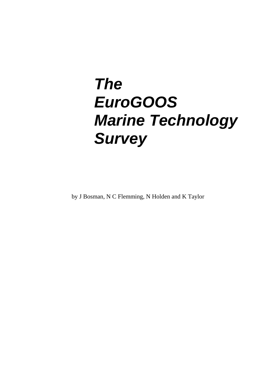# *The EuroGOOS Marine Technology Survey*

by J Bosman, N C Flemming, N Holden and K Taylor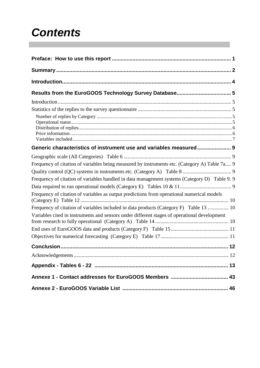# *Contents*

| Generic characteristics of instrument use and variables measured 9                            |
|-----------------------------------------------------------------------------------------------|
|                                                                                               |
| Frequency of citation of variables being measured by instruments etc. (Category A) Table 7a 9 |
|                                                                                               |
| Frequency of citation of variables handled in data management systems (Category D) Table 9.9  |
|                                                                                               |
| Frequency of citation of variables as output predictions from operational numerical models    |
| Frequency of citation of variables included in data products (Category F) Table 13  10        |
| Variables cited in instruments and sensors under different stages of operational development  |
|                                                                                               |
|                                                                                               |
|                                                                                               |
|                                                                                               |
|                                                                                               |
|                                                                                               |
|                                                                                               |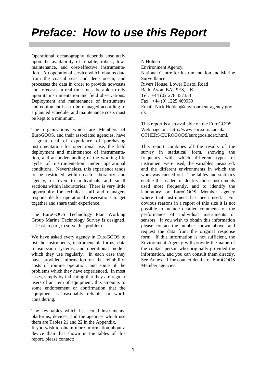Operational oceanography depends absolutely upon the availability of reliable, robust, lowmaintenance, and cost-effective instrumentation. An operational service which obtains data from the coastal seas and deep ocean, and processes the data in order to provide nowcasts and forecasts in real time must be able to rely upon its instrumentation and field observations. Deployment and maintenance of instruments and equipment has to be managed according to a planned schedule, and maintenance costs must be kept to a minimum.

The organisations which are Members of EuroGOOS, and their associated agencies, have a great deal of experience of purchasing instrumentation for operational use, the field deployment and maintenance of instrumentation, and an understanding of the working life cycle of instrumentation under operational conditions. Nevertheless, this experience tends to be restricted within each laboratory and agency, or even to individuals and small sections within laboratories. There is very little opportunity for technical staff and managers responsible for operational observations to get together and share their experience.

The EuroGOOS Technology Plan Working Group Marine Technology Survey is designed, at least in part, to solve this problem.

We have asked every agency in EuroGOOS to list the instruments, instrument platforms, data transmission systems, and operational models which they use regularly. In each case they have provided information on the reliability, costs of routine operation, and some of the problems which they have experienced. In most cases, simply by indicating that they are regular users of an item of equipment, this amounts to some endorsement or confirmation that the equipment is reasonably reliable, or worth considering.

The key tables which list actual instruments, platforms, devices, and the agencies which use them are Tables 21 and 22 in the Appendix.

If you wish to obtain more information about a device than that shown in the tables of this report, please contact:

N Holden Environment Agency, National Centre for Instrumentation and Marine Surveillance Rivers House, Lower Bristol Road Bath, Avon, BA2 9ES, UK. Tel: +44 (0)1278 457333 Fax: +44 (0) 1225 469939 Email: Nick.Holden@environment-agency.gov. uk

This report is also available on the EuroGOOS Web page on: http://www.soc.soton.ac.uk/ OTHERS/EUROGOOS/eurogoosindex.html.

This report combines all the results of the survey in statistical form, showing the frequency with which different types of instrument were used, the variables measured, and the different environments in which the work was carried out. The tables and statistics enable the reader to identify those instruments used most frequently, and to identify the laboratory or EuroGOOS Member agency where that instrument has been used. For obvious reasons in a report of this size it is not possible to include detailed comments on the performance of individual instruments or sensors. If you wish to obtain this information please contact the number shown above, and request the data from the original response form. If this information is not sufficient, the Environment Agency will provide the name of the contact person who originally provided the information, and you can consult them directly. See Annexe 1 for contact details of EuroGOOS Member agencies.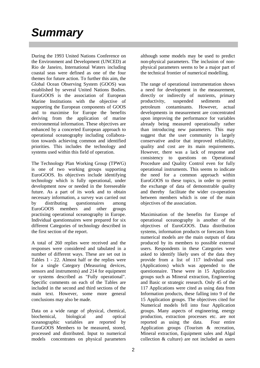# *Summary*

During the 1993 United Nations Conference on the Environment and Development (UNCED) at Rio de Janeiro, International Waters including coastal seas were defined as one of the four themes for future action. To further this aim, the Global Ocean Observing System (GOOS) was established by several United Nations Bodies. EuroGOOS is the association of European Marine Institutions with the objective of supporting the European components of GOOS and to maximise for Europe the benefits deriving from the application of marine environmental information. These objectives are enhanced by a concerted European approach to operational oceanography including collaboration towards achieving common and identified priorities. This includes the technology and systems used within this field of operation.

The Technology Plan Working Group (TPWG) is one of two working groups supporting EuroGOOS. Its objectives include identifying technology which is fully operational, under development now or needed in the foreseeable future. As a part of its work and to obtain necessary information, a survey was carried out by distributing questionnaires among EuroGOOS members and other groups practising operational oceanography in Europe. Individual questionnaires were prepared for six different Categories of technology described in the first section of the report.

A total of 260 replies were received and the responses were considered and tabulated in a number of different ways. These are set out in Tables 1 - 22. Almost half or the replies were for a single Category (Measuring devices, sensors and instruments) and 214 for equipment or systems described as "Fully operational". Specific comments on each of the Tables are included in the second and third sections of the main text. However, some more general conclusions may also be made.

Data on a wide range of physical, chemical, biochemical, biological and optical oceanographic variables are reported by EuroGOOS Members to be measured, stored, processed and distributed. Input to numerical models concentrates on physical parameters although some models may be used to predict non-physical parameters. The inclusion of nonphysical parameters seems to be a major part of the technical frontier of numerical modelling.

The range of operational instrumentation shows a need for development in the measurement, directly or indirectly of nutrients, primary productivity, suspended sediments and petroleum contaminants. However, actual developments in measurement are concentrated upon improving the performance for variables already being measured operationally rather than introducing new parameters. This may suggest that the user community is largely conservative and/or that improved reliability, quality and cost are its main requirements. However, there was a lack of response and consistency to questions on Operational Procedure and Quality Control even for fully operational instruments. This seems to indicate the need for a common approach within EuroGOOS to these topics, in order to permit the exchange of data of demonstrable quality and thereby facilitate the wider co-operation between members which is one of the main objectives of the association.

Maximisation of the benefits for Europe of operational oceanography is another of the objectives of EuroGOOS. Data distribution systems, information products or forecasts from numerical models are the main outputs of data produced by its members to possible external users. Respondents in these Categories were asked to identify likely uses of the data they provide from a list of 117 individual uses (Applications) which was appended to the questionnaire. These were in 15 Application groups such as Mineral extraction, Engineering and Basic or strategic research. Only 45 of the 117 Applications were cited as using data from Information products, these falling into 9 of the 15 Application groups. The objectives cited for Numerical models fell into four Application groups. Many aspects of engineering, energy production, extraction processes etc. are not reported as using the data. Four entire Application groups (Tourism & recreation, Mineral extraction, Equipment sales and Algal collection & culture) are not included as users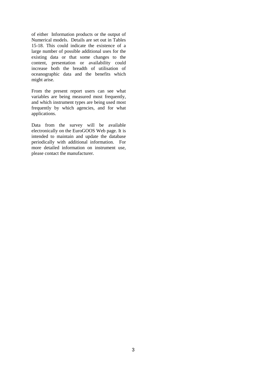of either Information products or the output of Numerical models. Details are set out in Tables 15-18. This could indicate the existence of a large number of possible additional uses for the existing data or that some changes to the content, presentation or availability could increase both the breadth of utilisation of oceanographic data and the benefits which might arise.

From the present report users can see what variables are being measured most frequently, and which instrument types are being used most frequently by which agencies, and for what applications.

Data from the survey will be available electronically on the EuroGOOS Web page. It is intended to maintain and update the database periodically with additional information. For more detailed information on instrument use, please contact the manufacturer.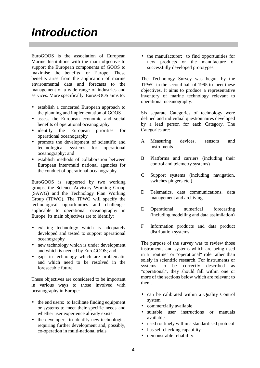# *Introduction*

EuroGOOS is the association of European Marine Institutions with the main objective to support the European components of GOOS to maximise the benefits for Europe. These benefits arise from the application of marine environmental data and forecasts to the management of a wide range of industries and services. More specifically, EuroGOOS aims to:

- establish a concerted European approach to the planning and implementation of GOOS
- assess the European economic and social benefits of operational oceanography
- identify the European priorities for operational oceanography
- promote the development of scientific and technological systems for operational oceanography; and
- establish methods of collaboration between European inter/multi national agencies for the conduct of operational oceanography

EuroGOOS is supported by two working groups, the Science Advisory Working Group (SAWG) and the Technology Plan Working Group (TPWG). The TPWG will specify the technological opportunities and challenges applicable to operational oceanography in Europe. Its main objectives are to identify:

- existing technology which is adequately developed and tested to support operational oceanography
- new technology which is under development and which is needed by EuroGOOS; and
- gaps in technology which are problematic and which need to be resolved in the foreseeable future

These objectives are considered to be important in various ways to those involved with oceanography in Europe:

- the end users: to facilitate finding equipment or systems to meet their specific needs and whether user experience already exists
- the developer: to identify new technologies requiring further development and, possibly, co-operation in multi-national trials

• the manufacturer: to find opportunities for new products or the manufacture of successfully developed prototypes

The Technology Survey was begun by the TPWG in the second half of 1995 to meet these objectives. It aims to produce a representative inventory of marine technology relevant to operational oceanography.

Six separate Categories of technology were defined and individual questionnaires developed by a lead person for each Category. The Categories are:

- A Measuring devices, sensors and instruments
- B Platforms and carriers (including their control and telemetry systems)
- C Support systems (including navigation, switches pingers etc.)
- D Telematics, data communications, data management and archiving
- E Operational numerical forecasting (including modelling and data assimilation)
- F Information products and data product distribution systems

The purpose of the survey was to review those instruments and systems which are being used in a "routine" or "operational" role rather than solely in scientific research. For instruments or systems to be correctly described as "operational", they should fall within one or more of the sections below which are relevant to them.

- can be calibrated within a Quality Control system
- commercially available
- suitable user instructions or manuals available
- used routinely within a standardised protocol
- has self checking capability
- demonstrable reliability.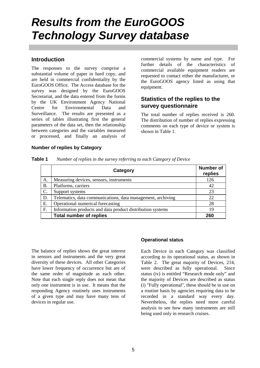# *Results from the EuroGOOS Technology Survey database*

# **Introduction**

The responses to the survey comprise a substantial volume of paper in hard copy, and are held in commercial confidentiality by the EuroGOOS Office. The Access database for the survey was designed by the EuroGOOS Secretariat, and the data entered from the forms by the UK Environment Agency National Centre for Environmental Data and Surveillance. The results are presented as a series of tables illustrating first the general parameters of the data set, then the relationship between categories and the variables measured or processed, and finally an analysis of

commercial systems by name and type. For further details of the characteristics of commercial available equipment readers are requested to contact either the manufacturer, or the EuroGOOS agency listed as using that equipment.

# **Statistics of the replies to the survey questionnaire**

The total number of replies received is 260. The distribution of number of replies expressing comments on each type of device or system is shown in Table 1.

#### **Number of replies by Category**

|                 | Category                                                    | <b>Number of</b><br>replies |
|-----------------|-------------------------------------------------------------|-----------------------------|
| А.              | Measuring devices, sensors, instruments                     | 126                         |
| Β.              | Platforms, carriers                                         | 42                          |
| $\mathcal{C}$ . | Support systems                                             | 23                          |
| D.              | Telematics, data communications, data management, archiving | 22                          |
| Ε.              | Operational numerical forecasting                           | 28                          |
| F.              | Information products and data product distribution systems  | 19                          |
|                 | <b>Total number of replies</b>                              | 260                         |

The balance of replies shows the great interest in sensors and instruments and the very great diversity of these devices. All other Categories have lower frequency of occurrence but are of the same order of magnitude as each other. Note that each single reply does not mean that only one instrument is in use. It means that the responding Agency routinely uses instruments of a given type and may have many tens of devices in regular use.

#### **Operational status**

Each Device in each Category was classified according to its operational status, as shown in Table 2. The great majority of Devices, 214, were described as fully operational. Since status (iv) is entitled "Research mode only" and the majority of Devices are described as status (i) "Fully operational", these should be in use on a routine basis by agencies requiring data to be recorded in a standard way every day. Nevertheless, the replies need more careful analysis to see how many instruments are still being used only in research cruises.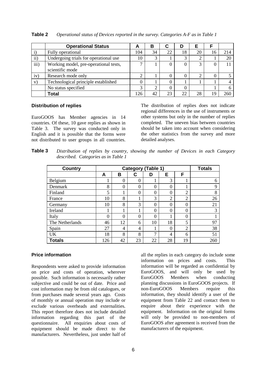|           | <b>Operational Status</b>                                | A   | в  | C  | D  |                |    |     |
|-----------|----------------------------------------------------------|-----|----|----|----|----------------|----|-----|
|           | Fully operational                                        | 104 | 34 | 22 | 18 | 20             | 16 | 214 |
| $\rm ii)$ | Undergoing trials for operational use                    | 10  |    |    |    | $\overline{2}$ |    | 20  |
| iii)      | Working model, pre-operational tests,<br>scientific mode | ⇁   |    |    |    | 3              |    |     |
| iv)       | Research mode only                                       | ◠   |    |    |    | $\overline{c}$ |    |     |
| V)        | Technological principle established                      | 0   |    |    |    |                |    |     |
|           | No status specified                                      | 3   | ◠  |    |    |                |    |     |
|           | Total                                                    | 126 | 42 | 23 | 22 | 28             | 9  | 260 |

**Table 2** *Operational status of Devices reported in the survey. Categories A-F as in Table 1*

#### **Distribution of replies**

EuroGOOS has Member agencies in 14 countries. Of these, 10 gave replies as shown in Table 3. The survey was conducted only in English and it is possible that the forms were not distributed to user groups in all countries.

The distribution of replies does not indicate regional differences in the use of instruments or other systems but only in the number of replies completed. The uneven bias between countries should be taken into account when considering the other statistics from the survey and more detailed analyses.

**Table 3** *Distribution of replies by country, showing the number of Devices in each Category described. Categories as in Table 1*

| <b>Country</b>  |                  | <b>Totals</b>  |                |               |                  |                |             |
|-----------------|------------------|----------------|----------------|---------------|------------------|----------------|-------------|
|                 | A                | в              | С              | D             | Е                | F              |             |
| Belgium         |                  | $\theta$       | 0              |               | 3                |                | 6           |
| Denmark         | 8                | $\overline{0}$ | $\overline{0}$ | $\theta$      | $\theta$         |                | $\mathbf Q$ |
| Finland         | 5                |                | $\overline{0}$ | $\theta$      | $\boldsymbol{0}$ | $\overline{2}$ | 8           |
| France          | 10               | 8              | 1              | 3             | $\overline{2}$   | $\overline{2}$ | 26          |
| Germany         | 10               | 8              | 3              | $\Omega$      | $\Omega$         | $\theta$       | 21          |
| Ireland         |                  |                | 1              | $\Omega$      | $\theta$         | $\theta$       | 3           |
| Italy           | $\boldsymbol{0}$ | $\Omega$       | 0              | $\theta$      | 1                | $\theta$       |             |
| The Netherlands | 46               | 12             | 6              | 10            | 18               | 5              | 97          |
| Spain           | 27               | 4              | 4              |               | $\overline{0}$   | $\overline{2}$ | 38          |
| <b>UK</b>       | 18               | 8              | 8              | $\mathcal{I}$ | 4                | 6              | 51          |
| <b>Totals</b>   | 126              | 42             | 23             | 22            | 28               | 19             | 260         |

#### **Price information**

Respondents were asked to provide information on price and costs of operation, wherever possible. Such information is necessarily rather subjective and could be out of date. Price and cost information may be from old catalogues, or from purchases made several years ago. Costs of monthly or annual operation may include or exclude various overheads and externalities. This report therefore does not include detailed information regarding this part of the questionnaire. All enquiries about costs of equipment should be made direct to the manufacturers. Nevertheless, just under half of

all the replies in each category do include some information on prices and costs. This information will be regarded as confidential by EuroGOOS, and will only be used by EuroGOOS Members when conducting planning discussions in EuroGOOS projects. If non-EuroGOOS Members require this information, they should identify a user of the equipment from Table 22 and contact them to enquire about their experience with the equipment. Information on the original forms will only be provided to non-members of EuroGOOS after agreement is received from the manufacturers of the equipment.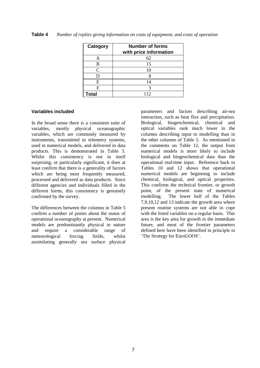| Table 4 |  | Number of replies giving information on costs of equipment, and costs of operation |
|---------|--|------------------------------------------------------------------------------------|
|         |  |                                                                                    |

| Category          | <b>Number of forms</b><br>with price information |
|-------------------|--------------------------------------------------|
|                   | 62                                               |
|                   | 15                                               |
| $\mathsf{\Gamma}$ |                                                  |
|                   |                                                  |
| E                 | 14                                               |
| F                 |                                                  |
| Total             | 12                                               |

#### **Variables included**

In the broad sense there is a consistent suite of variables, mostly physical oceanographic variables, which are commonly measured by instruments, transmitted in telemetry systems, used in numerical models, and delivered in data products. This is demonstrated in Table 5. Whilst this consistency is not in itself surprising, or particularly significant, it does at least confirm that there is a generality of factors which are being most frequently measured, processed and delivered as data products. Since different agencies and individuals filled in the different forms, this consistency is genuinely confirmed by the survey.

The differences between the columns in Table 5 confirm a number of points about the status of operational oceanography at present. Numerical models are predominantly physical in nature and require a considerable range of meteorological forcing fields, whilst assimilating generally sea surface physical

parameters and factors describing air-sea interaction, such as heat flux and precipitation. Biological, biogeochemical, chemical and optical variables rank much lower in the columns describing input to modelling than in the other columns of Table 5. As mentioned in the comments on Table 12, the output from numerical models is more likely to include biological and biogeochemical data than the operational real-time input. Reference back to Tables 10 and 12 shows that operational numerical models are beginning to include chemical, biological, and optical properties. This confirms the technical frontier, or growth point, of the present state of numerical modelling. The lower half of the Tables 7,9,10,12 and 13 indicate the growth area where present routine systems are not able to cope with the listed variables on a regular basis. This area is the key area for growth in the immediate future, and most of the frontier parameters defined here have been identified in principle in 'The Strategy for EuroGOOS'.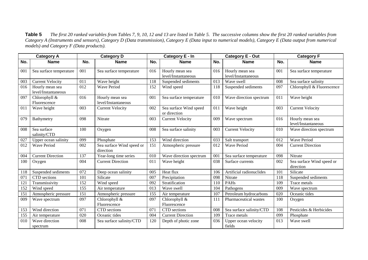**Table 5** *The first 20 ranked variables from Tables 7, 9, 10, 12 and 13 are listed in Table 5. The successive columns show the first 20 ranked variables from Category A (Instruments and sensors), Category D (Data transmission), Category E (Data input to numerical models), Category E (Data output from numerical models) and Category F (Data products).*

|     | <b>Category A</b>                      |     | <b>Category D</b>                      |     | Category E - In                        |     | <b>Category E - Out</b>                |     | <b>Category F</b>                      |
|-----|----------------------------------------|-----|----------------------------------------|-----|----------------------------------------|-----|----------------------------------------|-----|----------------------------------------|
| No. | <b>Name</b>                            | No. | <b>Name</b>                            | No. | <b>Name</b>                            | No. | <b>Name</b>                            | No. | <b>Name</b>                            |
| 001 | Sea surface temperature                | 001 | Sea surface temperature                | 016 | Hourly mean sea<br>level/Instantaneous | 016 | Hourly mean sea<br>level/Instantaneous | 001 | Sea surface temperature                |
| 003 | <b>Current Velocity</b>                | 011 | Wave height                            | 118 | Suspended sediments                    | 013 | Wave swell                             | 008 | Sea surface salinity                   |
| 016 | Hourly mean sea<br>level/Instantaneous | 012 | <b>Wave Period</b>                     | 152 | Wind speed                             | 118 | Suspended sediments                    | 097 | Chlorophyll & Fluorescence             |
| 097 | Chlorophyll &<br>Fluorescence          | 016 | Hourly mean sea<br>level/Instantaneous | 001 | Sea surface temperature                | 010 | Wave direction spectrum                | 011 | Wave height                            |
| 011 | Wave height                            | 003 | <b>Current Velocity</b>                | 002 | Sea surface Wind speed<br>or direction | 011 | Wave height                            | 003 | <b>Current Velocity</b>                |
| 079 | Bathymetry                             | 098 | Nitrate                                | 003 | <b>Current Velocity</b>                | 009 | Wave spectrum                          | 016 | Hourly mean sea<br>level/Instantaneous |
| 008 | Sea surface<br>salinity/CTD            | 100 | Oxygen                                 | 008 | Sea surface salinity                   | 003 | <b>Current Velocity</b>                | 010 | Wave direction spectrum                |
| 027 | Upper ocean salinity                   | 099 | Phosphate                              | 153 | Wind direction                         | 033 | Salt transport                         | 012 | <b>Wave Period</b>                     |
| 012 | <b>Wave Period</b>                     | 002 | Sea surface Wind speed or<br>direction | 151 | Atmospheric pressure                   | 012 | <b>Wave Period</b>                     | 004 | <b>Current Direction</b>               |
| 004 | <b>Current Direction</b>               | 137 | Year-long time series                  | 010 | Wave direction spectrum                | 001 | Sea surface temperature                | 098 | Nitrate                                |
| 100 | Oxygen                                 | 004 | <b>Current Direction</b>               | 011 | Wave height                            | 038 | Surface currents                       | 002 | Sea surface Wind speed or<br>direction |
| 118 | Suspended sediments                    | 072 | Deep ocean salinity                    | 005 | Heat flux                              | 106 | Artificial radionuclides               | 101 | Silicate                               |
| 071 | CTD sections                           | 101 | Silicate                               | 007 | Precipitation                          | 098 | Nitrate                                | 118 | Suspended sediments                    |
| 121 | Transmissivity                         | 152 | Wind speed                             | 092 | Stratification                         | 110 | <b>PAHs</b>                            | 109 | Trace metals                           |
| 152 | Wind speed                             | 155 | Air temperature                        | 013 | Wave swell                             | 104 | Pathogens                              | 009 | Wave spectrum                          |
| 151 | Atmospheric pressure                   | 151 | Atmospheric pressure                   | 155 | Air temperature                        | 107 | Petroleum hydrocarbons                 | 020 | Oceanic tides                          |
| 009 | Wave spectrum                          | 097 | Chlorophyll &                          | 097 | Chlorophyll &                          | 111 | Pharmaceutical wastes                  | 100 | Oxygen                                 |
|     |                                        |     | Fluorescence                           |     | Fluorescence                           |     |                                        |     |                                        |
| 153 | Wind direction                         | 071 | CTD sections                           | 071 | CTD sections                           | 008 | Sea surface salinity/CTD               | 108 | Pesticides & Herbicides                |
| 155 | Air temperature                        | 020 | Oceanic tides                          | 004 | <b>Current Direction</b>               | 109 | Trace metals                           | 099 | Phosphate                              |
| 010 | Wave direction<br>spectrum             | 008 | Sea surface salinity/CTD               | 120 | Depth of photic zone                   | 036 | Upper ocean velocity<br>fields         | 013 | Wave swell                             |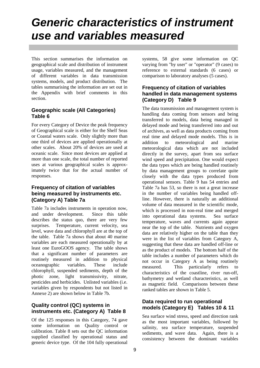# *Generic characteristics of instrument use and variables measured*

This section summarises the information on geographical scale and distribution of instrument usage, variables measured, and the management of different variables in data transmission systems, models, and product distribution. The tables summarising the information are set out in the Appendix with brief comments in this section.

## **Geographic scale (All Categories) Table 6**

For every Category of Device the peak frequency of Geographical scale is either for the Shelf Seas or Coastal waters scale. Only slightly more than one third of devices are applied operationally at other scales. About 20% of devices are used at oceanic scale. Since most devices are applied at more than one scale, the total number of reported uses at various geographical scales is approximately twice that for the actual number of responses.

### **Frequency of citation of variables being measured by instruments etc. (Category A) Table 7a**

Table 7a includes instruments in operation now, and under development. Since this table describes the status quo, there are very few surprises. Temperature, current velocity, sea level, wave data and chlorophyll are at the top of the table. Table 7a shows that about 40 marine variables are each measured operationally by at least one EuroGOOS agency. The table shows that a significant number of parameters are routinely measured in addition to physical oceanographic variables. These include chlorophyll, suspended sediments, depth of the photic zone, light transmissivity, nitrate, pesticides and herbicides. Unlisted variables (i.e. variables given by respondents but not listed in Annexe 2) are shown below in Table 7b.

### **Quality control (QC) systems in instruments etc. (Category A) Table 8**

Of the 125 responses in this Category, 74 gave some information on Quality control or calibration. Table 8 sets out the QC information supplied classified by operational status and generic device type. Of the 104 fully operational systems, 58 give some information on QC varying from "by user" or "operator" (9 cases) to reference to external standards (6 cases) or comparison to laboratory analyses (5 cases).

### **Frequency of citation of variables handled in data management systems (Category D) Table 9**

The data transmission and management system is handling data coming from sensors and being transferred to models, data being managed in delayed mode and being transferred into and out of archives, as well as data products coming from real time and delayed mode models. This is in addition to meteorological and marine meteorological data which are not included directly in the survey, apart from sea surface wind speed and precipitation. One would expect the data types which are being handled routinely by data management groups to correlate quite closely with the data types produced from operational sensors. Table 9 has 54 entries and Table 7a has 53, so there is not a great increase in the number of variables being handled offline. However, there is naturally an additional volume of data measured in the scientific mode, which is processed in non-real time and merged into operational data systems. Sea surface temperature, waves and currents again appear near the top of the table. Nutrients and oxygen data are relatively higher on the table than they were in the list of variables from Category A, suggesting that these data are handled off-line or as the product of models. The bottom half of the table includes a number of parameters which do not occur in Category A as being routinely measured. This particularly refers to characteristics of the coastline, river run-off, bathymetry and wetland characteristics, as well as magnetic field. Comparisons between these ranked tables are shown in Table 5.

### **Data required to run operational models (Category E) Tables 10 & 11**

Sea surface wind stress, speed and direction rank as the most important variables, followed by salinity, sea surface temperature, suspended sediments, and wave data. Again, there is a consistency between the dominant variables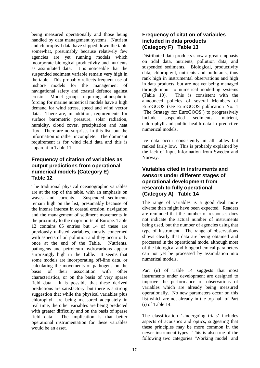being measured operationally and those being handled by data management systems. Nutrient and chlorophyll data have slipped down the table somewhat, presumably because relatively few agencies are yet running models which incorporate biological productivity and nutrients as assimilated data. It is noticeable that the suspended sediment variable remain very high in the table. This probably reflects frequent use of inshore models for the management of navigational safety and coastal defence against erosion. Model groups requiring atmospheric forcing for marine numerical models have a high demand for wind stress, speed and wind vector data. There are, in addition, requirements for surface barometric pressure, solar radiation, humidity, cloud cover, precipitation and heat flux. There are no surprises in this list, but the information is rather incomplete. The dominant requirement is for wind field data and this is apparent in Table 11.

#### **Frequency of citation of variables as output predictions from operational numerical models (Category E) Table 12**

The traditional physical oceanographic variables are at the top of the table, with an emphasis on waves and currents. Suspended sediments remain high on the list, presumably because of the intense interest in coastal erosion, navigation and the management of sediment movements in the proximity to the major ports of Europe. Table 12 contains 65 entries but 14 of these are previously unlisted variables, mostly concerned with aspects of oil pollution and they occur only once at the end of the Table. Nutrients, pathogens and petroleum hydrocarbons appear surprisingly high in the Table. It seems that some models are incorporating off-line data, or calculating the movements of pathogens on the basis of their association with other characteristics, or on the basis of very sparse field data. It is possible that these derived predictions are satisfactory, but there is a strong suggestion that while the physical variables plus chlorophyll are being measured adequately in real time, the other variables are being predicted with greater difficulty and on the basis of sparse field data. The implication is that better operational instrumentation for these variables would be an asset.

### **Frequency of citation of variables included in data products (Category F) Table 13**

Distributed data products show a great emphasis on tidal data, nutrients, pollution data, and suspended sediments. Biological, productivity data, chlorophyll, nutrients and pollutants, thus rank high in instrumental observations and high in data products, but are not yet being managed through input to numerical modelling systems (Table 10). This is consistent with the announced policies of several Members of EuroGOOS (see EuroGOOS publication No. 1 'The Strategy for EuroGOOS') to progressively include suspended sediments, nutrient, chlorophyll and public health data in predictive numerical models.

Ice data occur consistently in all tables but ranked fairly low. This is probably explained by the lack of input information from Sweden and Norway.

#### **Variables cited in instruments and sensors under different stages of operational development from research to fully operational (Category A) Table 14**

The range of variables is a good deal more diverse than might have been expected. Readers are reminded that the number of responses does not indicate the actual number of instruments being used, but the number of agencies using that type of instrument. The range of observations shows clearly that data are being obtained and processed in the operational mode, although most of the biological and biogeochemical parameters can not yet be processed by assimilation into numerical models.

Part (ii) of Table 14 suggests that most instruments under development are designed to improve the performance of observations of variables which are already being measured operationally. No new parameters occur on this list which are not already in the top half of Part (i) of Table 14.

The classification 'Undergoing trials' includes aspects of acoustics and optics, suggesting that these principles may be more common in the newer instrument types. This is also true of the following two categories 'Working model' and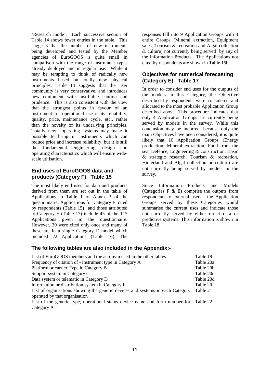'Research mode'. Each successive section of Table 14 shows fewer entries in the table. This suggests that the number of new instruments being developed and tested by the Member agencies of EuroGOOS is quite small in comparison with the range of instrument types already deployed and in regular use. While it may be tempting to think of radically new instruments based on totally new physical principles, Table 14 suggests that the user community is very conservative, and introduces new equipment with justifiable caution and prudence. This is also consistent with the view that the strongest points in favour of an instrument for operational use is its reliability, quality, price, maintenance cycle, etc., rather than the novelty of its underlying principles. Totally new operating systems may make it possible to bring in instruments which can reduce price and increase reliability, but it is still the fundamental engineering, design and operating characteristics which will ensure widescale utilisation.

#### **End uses of EuroGOOS data and products (Category F) Table 15**

The most likely end uses for data and products derived from them are set out in the table of Applications in Table 1 of Annex 3 of the questionnaire. Applications for Category F cited by respondents (Table 15) and those attributed to Category E (Table 17) include 45 of the 117 Applications given in the questionnaire. However, 30 were cited only once and many of these are in a single Category E model which included 22 Applications (Table 16). The

responses fall into 9 Application Groups with 4 entire Groups (Mineral extraction, Equipment sales, Tourism & recreation and Algal collection & culture) not currently being served by any of the Information Products. The Applications not cited by respondents are shown in Table 15b.

### **Objectives for numerical forecasting (Category E) Table 17**

In order to consider end uses for the outputs of the models in this Category, the Objective described by respondents were considered and allocated to the most probable Application Group described above. This procedure indicates that only 4 Application Groups are currently being served by models in the survey. While this conclusion may be incorrect because only the main Objectives have been considered, it is quite likely that 10 Application Groups (Energy production, Mineral extraction, Food from the sea, Defence, Engineering & construction, Basic & strategic research, Tourism & recreation, Hinterland and Algal collection or culture) are not currently being served by models in the survey.

Since Information Products and Models (Categories  $F \& E$ ) comprise the outputs from respondents to external users, the Application Groups served by these Categories would summarise the current uses and indicate those not currently served by either direct data or predictive systems. This information is shown in Table 18.

#### **The following tables are also included in the Appendix:-**

| List of EuroGOOS members and the acronym used in the other tables              | Table 19  |  |  |  |  |
|--------------------------------------------------------------------------------|-----------|--|--|--|--|
| Frequency of citation of - Instrument type in Category A                       | Table 20a |  |  |  |  |
| Platform or carrier Type in Category B                                         | Table 20b |  |  |  |  |
| Support system in Category C                                                   | Table 20c |  |  |  |  |
| Data system or telematic in Category D                                         | Table 20d |  |  |  |  |
| Information or distribution system in Category F                               | Table 20f |  |  |  |  |
| List of organisations showing the generic devices and systems in each Category |           |  |  |  |  |
| operated by that organisation                                                  |           |  |  |  |  |
| List of the generic type, operational status device name and form number for   | Table 22  |  |  |  |  |
| Category A                                                                     |           |  |  |  |  |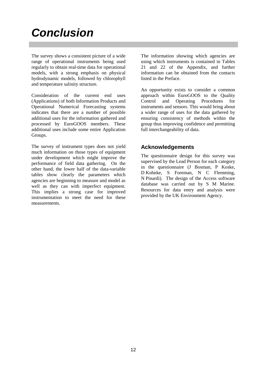# *Conclusion*

The survey shows a consistent picture of a wide range of operational instruments being used regularly to obtain real-time data for operational models, with a strong emphasis on physical hydrodynamic models, followed by chlorophyll and temperature salinity structure.

Consideration of the current end uses (Applications) of both Information Products and Operational Numerical Forecasting systems indicates that there are a number of possible additional uses for the information gathered and processed by EuroGOOS members. These additional uses include some entire Application Groups.

The survey of instrument types does not yield much information on those types of equipment under development which might improve the performance of field data gathering. On the other hand, the lower half of the data-variable tables show clearly the parameters which agencies are beginning to measure and model as well as they can with imperfect equipment. This implies a strong case for improved instrumentation to meet the need for these measurements.

The information showing which agencies are using which instruments is contained in Tables 21 and 22 of the Appendix, and further information can be obtained from the contacts listed in the Preface.

An opportunity exists to consider a common approach within EuroGOOS to the Quality Control and Operating Procedures for instruments and sensors. This would bring about a wider range of uses for the data gathered by ensuring consistency of methods within the group thus improving confidence and permitting full interchangeability of data.

# **Acknowledgements**

The questionnaire design for this survey was supervised by the Lead Person for each category in the questionnaire (J Bosman, P Koske, D Kohnke, S Foreman, N C Flemming, N Pinardi). The design of the Access software database was carried out by S M Marine. Resources for data entry and analysis were provided by the UK Environment Agency.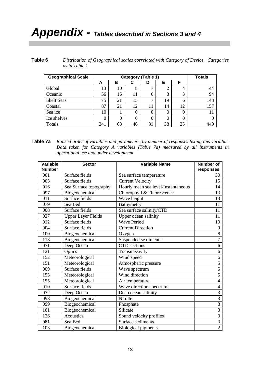# *Appendix - Tables described in Sections 3 and 4*

| Table 6 | Distribution of Geographical scales correlated with Category of Device. Categories |  |
|---------|------------------------------------------------------------------------------------|--|
|         | as in Table 1                                                                      |  |

| <b>Geographical Scale</b> |          | <b>Category (Table 1)</b> |    |    |    |    |     |
|---------------------------|----------|---------------------------|----|----|----|----|-----|
|                           | A        | в                         | C  | D  | Е  | F  |     |
| Global                    | 13       | 10                        | 8  | ⇁  | റ  | 4  | 44  |
| Oceanic                   | 56       | 15                        | 11 | 6  | 3  | 3  | 94  |
| <b>Shelf Seas</b>         | 75       | 21                        | 15 | ⇁  | 19 | 6  | 143 |
| Coastal                   | 87       | 21                        | 12 | 11 | 14 | 12 | 157 |
| Sea ice                   | 10       |                           | 0  | 0  | 0  | 0  | 11  |
| Ice shelves               | $\Omega$ |                           | 0  | 0  | 0  | 0  |     |
| Totals                    | 241      | 68                        | 46 | 31 | 38 | 25 | 449 |

**Table 7a** *Ranked order of variables and parameters, by number of responses listing this variable. Data taken for Category A variables (Table 7a) measured by all instruments in operational use and under development*

| Variable      | <b>Sector</b>             | <b>Variable Name</b>                | <b>Number of</b> |
|---------------|---------------------------|-------------------------------------|------------------|
| <b>Number</b> |                           |                                     | responses        |
| 001           | Surface fields            | Sea surface temperature             | 30               |
| 003           | Surface fields            | <b>Current Velocity</b>             | 15               |
| 016           | Sea Surface topography    | Hourly mean sea level/Instantaneous | 14               |
| 097           | Biogeochemical            | Chlorophyll & Fluorescence          | 13               |
| 011           | Surface fields            | Wave height                         | 13               |
| 079           | Sea Bed                   | Bathymetry                          | 11               |
| 008           | Surface fields            | Sea surface salinity/CTD            | 11               |
| 027           | <b>Upper Layer Fields</b> | Upper ocean salinity                | 11               |
| 012           | Surface fields            | <b>Wave Period</b>                  | 10               |
| 004           | Surface fields            | <b>Current Direction</b>            | 9                |
| 100           | Biogeochemical            | Oxygen                              | $\overline{8}$   |
| 118           | Biogeochemical            | Suspended se diments                | $\overline{7}$   |
| 071           | Deep Ocean                | CTD sections                        | 6                |
| 121           | Optics                    | Transmissivity                      | 6                |
| 152           | Meteorological            | Wind speed                          | 6                |
| 151           | Meteorological            | Atmospheric pressure                | 5                |
| 009           | Surface fields            | Wave spectrum                       | $\overline{5}$   |
| 153           | Meteorological            | Wind direction                      | $\overline{5}$   |
| 155           | Meteorological            | Air temperature                     | $\overline{4}$   |
| 010           | Surface fields            | Wave direction spectrum             | $\overline{4}$   |
| 072           | Deep Ocean                | Deep ocean salinity                 | $\overline{3}$   |
| 098           | Biogeochemical            | Nitrate                             | $\overline{3}$   |
| 099           | Biogeochemical            | Phosphate                           | $\overline{3}$   |
| 101           | Biogeochemical            | Silicate                            | $\overline{3}$   |
| 126           | <b>Acoustics</b>          | Sound velocity profiles             | $\overline{3}$   |
| 081           | Sea Bed                   | Surface sediments                   | $\overline{3}$   |
| 103           | Biogeochemical            | <b>Biological pigments</b>          | $\overline{2}$   |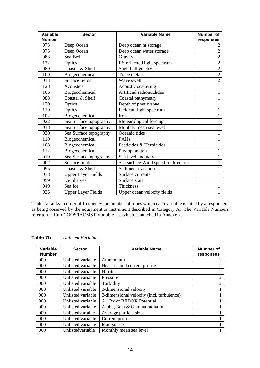| <b>Variable</b> | <b>Sector</b>             | <b>Variable Name</b>                | <b>Number of</b> |
|-----------------|---------------------------|-------------------------------------|------------------|
| <b>Number</b>   |                           |                                     | responses        |
| 073             | Deep Ocean                | Deep ocean ht storage               | 2                |
| 075             | Deep Ocean                | Deep ocean water storage            | $\overline{2}$   |
| 083             | Sea Bed                   | Gravity                             | $\overline{2}$   |
| 122             | Optics                    | RS reflected light spectrum         | $\overline{2}$   |
| 089             | Coastal & Shelf           | Shelf bathymetry                    | $\overline{2}$   |
| 109             | Biogeochemical            | Trace metals                        | $\overline{2}$   |
| 013             | Surface fields            | Wave swell                          | $\overline{2}$   |
| 128             | <b>Acoustics</b>          | Acoustic scattering                 |                  |
| 106             | Biogeochemical            | Artificial radionuclides            | 1                |
| 088             | Coastal & Shelf           | Coastal bathymetry                  | 1                |
| 120             | Optics                    | Depth of photic zone                |                  |
| 119             | Optics                    | Incident light spectrum             |                  |
| 102             | Biogeochemical            | Iron                                | 1                |
| 022             | Sea Surface topography    | Meteorological forcing              |                  |
| 018             | Sea Surface topography    | Monthly mean sea level              | 1                |
| 020             | Sea Surface topography    | Oceanic tides                       | 1                |
| 110             | Biogeochemical            | PAHs                                |                  |
| 108             | Biogeochemical            | Pesticides & Herbicides             | 1                |
| 112             | Biogeochemical            | Phytoplankton                       | 1                |
| 019             | Sea Surface topography    | Sea level anomaly                   |                  |
| 002             | Surface fields            | Sea surface Wind speed or direction |                  |
| 095             | Coastal & Shelf           | Sediment transport                  | 1                |
| 038             | <b>Upper Layer Fields</b> | Surface currents                    | 1                |
| 059             | <b>Ice Shelves</b>        | Surface state                       |                  |
| 049             | Sea Ice                   | <b>Thickness</b>                    | 1                |
| 036             | <b>Upper Layer Fields</b> | Upper ocean velocity fields         | 1                |

Table 7a ranks in order of frequency the number of times which each variable is cited by a respondent as being observed by the equipment or instrument described in Category A. The Variable Numbers refer to the EuroGOOS/IACMST Variable list which is attached in Annexe 2.

| Variable      | <b>Sector</b>     | <b>Variable Name</b>                      | Number of      |
|---------------|-------------------|-------------------------------------------|----------------|
| <b>Number</b> |                   |                                           | responses      |
| 000           | Unlisted variable | Ammonium                                  | 2              |
| 000           | Unlisted variable | Near sea bed current profile              | 2              |
| 000           | Unlisted variable | <b>Nitrite</b>                            | 2              |
| 000           | Unlisted variable | Pressure                                  | $\overline{2}$ |
| 000           | Unlisted variable | Turbidity                                 | 2              |
| 000           | Unlisted variable | 3-dimensional velocity                    |                |
| 000           | Unlisted variable | 3-dimensional velocity (incl. turbulence) |                |
| 000           | Unlisted variable | All Rx of REDOX Potential                 |                |
| 000           | Unlisted variable | Alpha, Beta & Gamma radiation             |                |
| 000           | Unlistedvariable  | Average particle size                     |                |
| 000           | Unlisted variable | Current profile                           |                |
| 000           | Unlisted variable | Manganese                                 |                |
| 000           | Unlistedvariable  | Monthly mean sea level                    |                |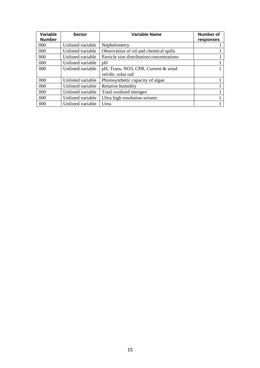| <b>Variable</b><br><b>Number</b> | <b>Sector</b>     | <b>Variable Name</b>                      | Number of<br>responses |
|----------------------------------|-------------------|-------------------------------------------|------------------------|
| $000 \,$                         | Unlisted variable | Nephelometry                              |                        |
| 000                              | Unlisted variable | Observation of oil and chemical spills    |                        |
| 000                              | Unlisted variable | Particle size distribution/concentrations |                        |
| 000                              | Unlisted variable | pH                                        |                        |
| 000                              | Unlisted variable | pH, Trans, NO3, CPR, Current & wind       |                        |
|                                  |                   | vel/dir, solar rad                        |                        |
| 000                              | Unlisted variable | Photosynthetic capacity of algae.         |                        |
| 000                              | Unlisted variable | Relative humidity                         |                        |
| 000                              | Unlisted variable | Total oxidised nitrogen                   |                        |
| 000                              | Unlisted variable | Ultra high resolution seismic             |                        |
| 000                              | Unlisted variable | Urea                                      |                        |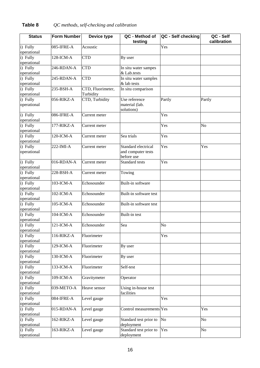# **Table 8** *QC methods, self-checking and calibration*

| <b>Status</b>          | <b>Form Number</b> | Device type       | QC - Method of           | QC - Self checking | QC - Self   |
|------------------------|--------------------|-------------------|--------------------------|--------------------|-------------|
|                        |                    |                   | testing                  |                    | calibration |
| i) Fully               | 085-IFRE-A         | Acoustic          |                          | Yes                |             |
| operational            |                    |                   |                          |                    |             |
| i) Fully               | 128-ICM-A          | <b>CTD</b>        | By user                  |                    |             |
| operational            |                    |                   |                          |                    |             |
| i) Fully               | 246-RDAN-A         | <b>CTD</b>        | In situ water sampes     |                    |             |
| operational            |                    |                   | & Lab.tests              |                    |             |
| i) Fully               | 245-RDAN-A         | <b>CTD</b>        | In situ water samples    |                    |             |
| operational            |                    |                   | & lab tests              |                    |             |
| i) Fully               | 235-BSH-A          | CTD, Fluorimeter, | In situ comparison       |                    |             |
| operational            |                    | Turbidity         |                          |                    |             |
| i) Fully               | 056-RIKZ-A         | CTD, Turbidity    | Use reference            | Partly             | Partly      |
| operational            |                    |                   | material (lab.           |                    |             |
|                        |                    |                   | solutions)               |                    |             |
| i) Fully               | 086-IFRE-A         | Current meter     |                          | Yes                |             |
| operational            |                    |                   |                          |                    |             |
| i) Fully               | 177-RIKZ-A         | Current meter     |                          | Yes                | No          |
| operational            |                    |                   |                          |                    |             |
| i) Fully               | 120-ICM-A          | Current meter     | Sea trials               | Yes                |             |
| operational            |                    |                   |                          |                    |             |
| i) Fully               | 222-IMI-A          | Current meter     | Standard electrical      | Yes                | Yes         |
| operational            |                    |                   | and computer tests       |                    |             |
|                        |                    |                   | before use               |                    |             |
| i) Fully               | 016-RDAN-A         | Current meter     | Standard tests           | Yes                |             |
| operational            |                    |                   |                          |                    |             |
| $\overline{i}$ ) Fully | 228-BSH-A          | Current meter     | Towing                   |                    |             |
| operational            |                    |                   |                          |                    |             |
| i) Fully               | 103-ICM-A          | Echosounder       | Built-in software        |                    |             |
| operational            |                    |                   |                          |                    |             |
| i) Fully               | 102-ICM-A          | Echosounder       | Built-in software test   |                    |             |
| operational            |                    |                   |                          |                    |             |
| i) Fully               | 105-ICM-A          | Echosounder       | Built-in software test   |                    |             |
| operational            |                    |                   |                          |                    |             |
| i) Fully               | 104-ICM-A          | Echosounder       | Built-in test            |                    |             |
| operational            |                    |                   |                          |                    |             |
| i) Fully               | 121-ICM-A          | Echosounder       | Sea                      | No                 |             |
| operational            |                    |                   |                          |                    |             |
| i) Fully               | 116-RIKZ-A         | Fluorimeter       |                          | Yes                |             |
| operational            |                    |                   |                          |                    |             |
| i) Fully               | 129-ICM-A          | Fluorimeter       | By user                  |                    |             |
| operational            |                    |                   |                          |                    |             |
| i) Fully               | 130-ICM-A          | Fluorimeter       | By user                  |                    |             |
| operational            |                    |                   |                          |                    |             |
| i) Fully               | 133-ICM-A          | Fluorimeter       | Self-test                |                    |             |
| operational            |                    |                   |                          |                    |             |
| i) Fully               | 109-ICM-A          | Gravitymeter      | Operator                 |                    |             |
| operational            |                    |                   |                          |                    |             |
| i) Fully               | 039-METO-A         | Heave sensor      | Using in-house test      |                    |             |
| operational            |                    |                   | facilities               |                    |             |
| i) Fully               | 084-IFRE-A         | Level gauge       |                          | Yes                |             |
| operational            |                    |                   |                          |                    |             |
| i) Fully               | 015-RDAN-A         | Level gauge       | Control measurements Yes |                    | Yes         |
| operational            |                    |                   |                          |                    |             |
| i) Fully               | 162-RIKZ-A         | Level gauge       | Standard test prior to   | No                 | No          |
| operational            |                    |                   | deployment               |                    |             |
| i) Fully               | 163-RIKZ-A         | Level gauge       | Standard test prior to   | Yes                | No          |
| operational            |                    |                   | deployment               |                    |             |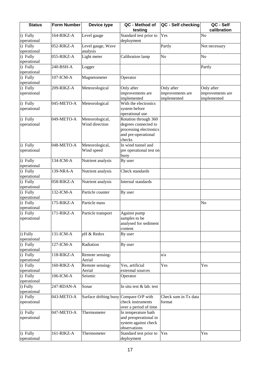| <b>Status</b>           | <b>Form Number</b> | Device type                            | QC - Method of                      | QC - Self checking   | QC - Self        |
|-------------------------|--------------------|----------------------------------------|-------------------------------------|----------------------|------------------|
|                         |                    |                                        | testing                             |                      | calibration      |
| i) Fully                | 164-RIKZ-A         | Level gauge                            | Standard test prior to              | Yes                  | No               |
| operational             | 052-RIKZ-A         |                                        | deployment                          |                      |                  |
| i) Fully                |                    | Level gauge, Wave                      |                                     | Partly               | Not necessary    |
| operational<br>i) Fully | 055-RIKZ-A         | analysis                               |                                     | No                   | No               |
| operational             |                    | Light meter                            | Calibration lamp                    |                      |                  |
| i) Fully                | 240-BSH-A          |                                        |                                     |                      | Partly           |
| operational             |                    | Logger                                 |                                     |                      |                  |
| i) Fully                | 107-ICM-A          | Magnetometer                           | Operator                            |                      |                  |
| operational             |                    |                                        |                                     |                      |                  |
| i) Fully                | 209-RIKZ-A         | Meteorological                         | Only after                          | Only after           | Only after       |
| operational             |                    |                                        | improvements are                    | improvements are     | improvements are |
|                         |                    |                                        | implemented                         | implemented          | implemented      |
| i) Fully                | 045-METO-A         | Meteorological                         | With the electronics                |                      |                  |
| operational             |                    |                                        | system before                       |                      |                  |
|                         |                    |                                        | operational use                     |                      |                  |
| i) Fully                | 049-METO-A         | Meteorological,                        | Rotation through 360                |                      |                  |
| operational             |                    | Wind direction                         | degrees connected to                |                      |                  |
|                         |                    |                                        | processing electronics              |                      |                  |
|                         |                    |                                        | and pre-operational                 |                      |                  |
|                         |                    |                                        | checks                              |                      |                  |
| i) Fully                | 048-METO-A         | Meteorological,                        | In wind tunnel and                  |                      |                  |
| operational             |                    | Wind speed                             | pre operational test on             |                      |                  |
|                         |                    |                                        | buoy                                |                      |                  |
| i) Fully                | 134-ICM-A          | Nutrient analysis                      | By user                             |                      |                  |
| operational             |                    |                                        |                                     |                      |                  |
| i) Fully                | 139-NRA-A          | Nutrient analysis                      | Check standards                     |                      |                  |
| operational             |                    |                                        |                                     |                      |                  |
| i) Fully                | 058-RIKZ-A         | Nutrient analysis                      | Internal standards                  |                      |                  |
| operational             |                    |                                        |                                     |                      |                  |
| i) Fully                | 132-ICM-A          | Particle counter                       | By user                             |                      |                  |
| operational             |                    |                                        |                                     |                      |                  |
| i) Fully                | 175-RIKZ-A         | Particle mass                          |                                     |                      | No               |
| operational             |                    |                                        |                                     |                      |                  |
| i) Fully                | 171-RIKZ-A         | Particle transport                     | Against pump                        |                      |                  |
| operational             |                    |                                        | samples to be                       |                      |                  |
|                         |                    |                                        | analysed for sediment               |                      |                  |
|                         |                    |                                        | content                             |                      |                  |
| i) Fully                | 131-ICM-A          | pH & Redox                             | By user                             |                      |                  |
| operational             |                    |                                        |                                     |                      |                  |
| i) Fully                | 127-ICM-A          | Radiation                              | By user                             |                      |                  |
| operational             |                    |                                        |                                     |                      |                  |
| i) Fully                | 118-RIKZ-A         | Remote sensing-                        |                                     | n/a                  |                  |
| operational             |                    | Aerial                                 |                                     |                      |                  |
| i) Fully<br>operational | 160-RIKZ-A         | Remote sensing-<br>Aerial              | Yes, artificial<br>extermal sources | Yes                  | Yes              |
| i) Fully                | 106-ICM-A          | Seismic                                | Operator                            |                      |                  |
| operational             |                    |                                        |                                     |                      |                  |
| i) Fully                | 247-RDAN-A         | Sonar                                  | In situ test & lab. test            |                      |                  |
| operational             |                    |                                        |                                     |                      |                  |
| i) Fully                | 043-METO-A         | Surface drifting buoy Compare O/P with |                                     | Check sum in Tx data |                  |
| operational             |                    |                                        | check instruments                   | format               |                  |
|                         |                    |                                        | over a period of time               |                      |                  |
| i) Fully                | 047-METO-A         | Thermometer                            | In temperature bath                 |                      |                  |
| operational             |                    |                                        | and preoperational in               |                      |                  |
|                         |                    |                                        | system against check                |                      |                  |
|                         |                    |                                        | observations                        |                      |                  |
| i) Fully                | 161-RIKZ-A         | Thermometer                            | Standard test prior to              | Yes                  | Yes              |
| operational             |                    |                                        | deployment                          |                      |                  |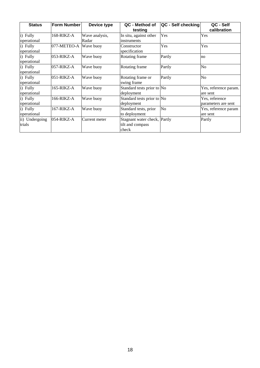| <b>Status</b>  | <b>Form Number</b> | Device type    | QC - Method of<br>testing    | QC - Self checking | QC - Self<br>calibration |
|----------------|--------------------|----------------|------------------------------|--------------------|--------------------------|
| i) Fully       | 168-RIKZ-A         | Wave analysis, | In situ, against other       | Yes                | Yes                      |
| operational    |                    | Radar          | <i>instruments</i>           |                    |                          |
| i) Fully       | 077-METEO-A        | Wave buoy      | Constructor                  | Yes                | Yes                      |
| operational    |                    |                | specification                |                    |                          |
| i) Fully       | 053-RIKZ-A         | Wave buoy      | Rotating frame               | Partly             | no                       |
| operational    |                    |                |                              |                    |                          |
| i) Fully       | $057$ -RIKZ-A      | Wave buoy      | Rotating frame               | Partly             | No                       |
| operational    |                    |                |                              |                    |                          |
| i) Fully       | $051$ -RIKZ-A      | Wave buoy      | Rotating frame or            | Partly             | No                       |
| operational    |                    |                | swing frame                  |                    |                          |
| i) Fully       | 165-RIKZ-A         | Wave buoy      | Standard tests prior to No   |                    | Yes, reference param.    |
| operational    |                    |                | deployment                   |                    | are sent                 |
| i) Fully       | 166-RIKZ-A         | Wave buoy      | Standard tests prior to No   |                    | Yes, reference           |
| operational    |                    |                | deployment                   |                    | parameters are sent      |
| i) Fully       | 167-RIKZ-A         | Wave buoy      | Standard tests, prior        | No                 | Yes, reference param     |
| operational    |                    |                | to deployment                |                    | are sent                 |
| ii) Undergoing | 054-RIKZ-A         | Current meter  | Stagnant water check, Partly |                    | Partly                   |
| trials         |                    |                | tilt and compass             |                    |                          |
|                |                    |                | check                        |                    |                          |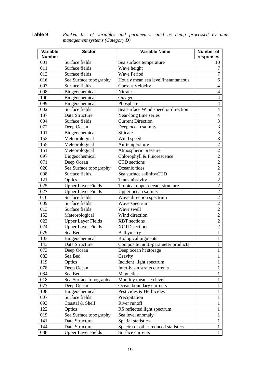| Variable      | <b>Sector</b>             | <b>Variable Name</b>                | Number of        |
|---------------|---------------------------|-------------------------------------|------------------|
| <b>Number</b> |                           |                                     | responses        |
| 001           | Surface fields            | Sea surface temperature             | 10               |
| 011           | Surface fields            | Wave height                         | $\overline{7}$   |
| 012           | Surface fields            | <b>Wave Period</b>                  | $\boldsymbol{7}$ |
| 016           | Sea Surface topography    | Hourly mean sea level/Instantaneous | 6                |
| 003           | Surface fields            | <b>Current Velocity</b>             | $\overline{4}$   |
| 098           | Biogeochemical            | Nitrate                             | $\overline{4}$   |
| 100           | Biogeochemical            | Oxygen                              | $\overline{4}$   |
| 099           | Biogeochemical            | Phosphate                           | $\overline{4}$   |
| 002           | Surface fields            | Sea surface Wind speed or direction | $\overline{4}$   |
| 137           | Data Structure            | Year-long time series               | $\overline{4}$   |
| 004           | Surface fields            | <b>Current Direction</b>            | $\mathfrak{Z}$   |
| 072           | Deep Ocean                | Deep ocean salinity                 | $\overline{3}$   |
| 101           | Biogeochemical            | Silicate                            | $\overline{3}$   |
| 152           | Meteorological            | Wind speed                          | $\overline{3}$   |
| 155           | Meteorological            | Air temperature                     | $\overline{2}$   |
| 151           | Meteorological            | Atmospheric pressure                | $\overline{2}$   |
| 097           | Biogeochemical            | Chlorophyll & Fluorescence          | $\overline{2}$   |
| 071           | Deep Ocean                | CTD sections                        | $\sqrt{2}$       |
| 020           | Sea Surface topography    | Oceanic tides                       | $\overline{2}$   |
| 008           | Surface fields            | Sea surface salinity/CTD            | $\sqrt{2}$       |
| 121           | Optics                    | Transmissivity                      | $\overline{2}$   |
| 025           | <b>Upper Layer Fields</b> | Tropical upper ocean, structure     | $\sqrt{2}$       |
| 027           | <b>Upper Layer Fields</b> | Upper ocean salinity                | $\overline{2}$   |
| 010           | Surface fields            | Wave direction spectrum             | $\sqrt{2}$       |
| 009           | Surface fields            | Wave spectrum                       | $\overline{2}$   |
| 013           | Surface fields            | Wave swell                          | $\overline{2}$   |
| 153           | Meteorological            | Wind direction                      | $\overline{2}$   |
| 023           | <b>Upper Layer Fields</b> | <b>XBT</b> sections                 | $\overline{2}$   |
| 024           | <b>Upper Layer Fields</b> | <b>XCTD</b> sections                | $\overline{2}$   |
| 079           | Sea Bed                   | Bathymetry                          | $\mathbf{1}$     |
| 103           | Biogeochemical            | <b>Biological pigments</b>          | 1                |
| 143           | Data Structure            | Composite multi-parameter products  | $\mathbf{1}$     |
| 073           | Deep Ocean                | Deep ocean ht storage               | $\mathbf{1}$     |
| 083           | Sea Bed                   | Gravity                             | 1                |
| 119           | Optics                    | Incident light spectrum             | $\mathbf{1}$     |
| 078           | Deep Ocean                | Inter-basin straits currents        | $\mathbf{1}$     |
| 084           | Sea Bed                   | Magnetics                           | $\mathbf{1}$     |
| 018           | Sea Surface topography    | Monthly mean sea level              | 1                |
| 077           | Deep Ocean                | Ocean boundary currents             | 1                |
| 108           | Biogeochemical            | Pesticides & Herbicides             | 1                |
| 007           | Surface fields            | Precipitation                       | $\mathbf{1}$     |
| 093           | Coastal & Shelf           | River runoff                        | 1                |
| 122           | Optics                    | RS reflected light spectrum         | $\mathbf{1}$     |
| 019           | Sea Surface topography    | Sea level anomaly                   | 1                |
| 141           | Data Structure            | Spatial statistics                  | $\mathbf{1}$     |
| 144           | Data Structure            | Spectra or other reduced statistics | $\mathbf{1}$     |
| 038           | <b>Upper Layer Fields</b> | Surface currents                    | 1                |

**Table 9** *Ranked list of variables and parameters cited as being processed by data management systems (Category D)*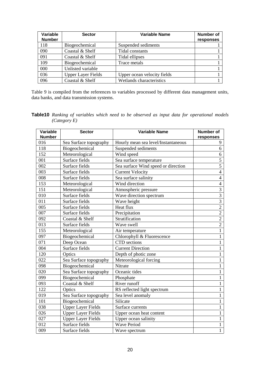| Variable      | <b>Sector</b>             | <b>Variable Name</b>        | <b>Number of</b> |
|---------------|---------------------------|-----------------------------|------------------|
| <b>Number</b> |                           |                             | responses        |
| 118           | Biogeochemical            | Suspended sediments         |                  |
| 090           | Coastal & Shelf           | Tidal constants             |                  |
| 091           | Coastal & Shelf           | Tidal ellipses              |                  |
| 109           | Biogeochemical            | Trace metals                |                  |
| 000           | Unlisted variable         |                             |                  |
| 036           | <b>Upper Layer Fields</b> | Upper ocean velocity fields |                  |
| 096           | Coastal & Shelf           | Wetlands characteristics    |                  |

Table 9 is compiled from the references to variables processed by different data management units, data banks, and data transmission systems.

| Variable<br><b>Number</b> | <b>Sector</b>             | <b>Variable Name</b>                | <b>Number of</b><br>responses |
|---------------------------|---------------------------|-------------------------------------|-------------------------------|
| 016                       | Sea Surface topography    | Hourly mean sea level/Instantaneous | 9                             |
| 118                       | Biogeochemical            | Suspended sediments                 | 6                             |
| 152                       | Meteorological            | Wind speed                          | 6                             |
| 001                       | Surface fields            | Sea surface temperature             | 5                             |
| 002                       | Surface fields            | Sea surface Wind speed or direction | $\overline{5}$                |
| 003                       | Surface fields            | <b>Current Velocity</b>             | $\overline{4}$                |
| 008                       | Surface fields            | Sea surface salinity                | $\overline{4}$                |
| 153                       | Meteorological            | Wind direction                      | $\overline{4}$                |
| 151                       | Meteorological            | Atmospheric pressure                | $\overline{3}$                |
| 010                       | Surface fields            | Wave direction spectrum             | $\overline{3}$                |
| 011                       | Surface fields            | Wave height                         | $\overline{3}$                |
| 005                       | Surface fields            | Heat flux                           | $\overline{2}$                |
| 007                       | Surface fields            | Precipitation                       | $\overline{2}$                |
| 092                       | Coastal & Shelf           | Stratification                      | $\overline{c}$                |
| 013                       | Surface fields            | Wave swell                          | $\overline{2}$                |
| 155                       | Meteorological            | Air temperature                     | $\mathbf{1}$                  |
| 097                       | Biogeochemical            | Chlorophyll & Fluorescence          | $\mathbf{1}$                  |
| 071                       | Deep Ocean                | CTD sections                        | 1                             |
| 004                       | Surface fields            | <b>Current Direction</b>            | $\mathbf{1}$                  |
| 120                       | Optics                    | Depth of photic zone                | 1                             |
| 022                       | Sea Surface topography    | Meteorological forcing              | $\mathbf{1}$                  |
| 098                       | Biogeochemical            | Nitrate                             | $\mathbf{1}$                  |
| 020                       | Sea Surface topography    | Oceanic tides                       | $\mathbf{1}$                  |
| 099                       | Biogeochemical            | Phosphate                           | 1                             |
| 093                       | Coastal & Shelf           | River runoff                        | 1                             |
| 122                       | Optics                    | RS reflected light spectrum         | $\mathbf{1}$                  |
| 019                       | Sea Surface topography    | Sea level anomaly                   | 1                             |
| 101                       | Biogeochemical            | Silicate                            | 1                             |
| 038                       | <b>Upper Layer Fields</b> | Surface currents                    | 1                             |
| 026                       | <b>Upper Layer Fields</b> | Upper ocean heat content            | 1                             |
| 027                       | <b>Upper Layer Fields</b> | Upper ocean salinity                | 1                             |
| 012                       | Surface fields            | <b>Wave Period</b>                  | 1                             |
| 009                       | Surface fields            | Wave spectrum                       | $\mathbf{1}$                  |

**Table10** *Ranking of variables which need to be observed as input data for operational models (Category E)*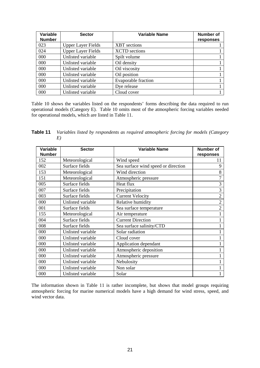| Variable      | <b>Sector</b>             | <b>Variable Name</b>       | <b>Number of</b> |
|---------------|---------------------------|----------------------------|------------------|
| <b>Number</b> |                           |                            | responses        |
| 023           | <b>Upper Layer Fields</b> | <b>XBT</b> sections        |                  |
| 024           | <b>Upper Layer Fields</b> | <b>XCTD</b> sections       |                  |
| 000           | Unlisted variable         | Spilt volume               |                  |
| 000           | Unlisted variable         | Oil density                |                  |
| 000           | Unlisted variable         | Oil viscosity              |                  |
| 000           | Unlisted variable         | Oil position               |                  |
| 000           | Unlisted variable         | <b>Evaporable fraction</b> |                  |
| 000           | Unlisted variable         | Dye release                |                  |
| 000           | Unlisted variable         | Cloud cover                |                  |

Table 10 shows the variables listed on the respondents' forms describing the data required to run operational models (Category E). Table 10 omits most of the atmospheric forcing variables needed for operational models, which are listed in Table 11.

**Table 11** *Variables listed by respondents as required atmospheric forcing for models (Category E)*

| Variable      | <b>Sector</b>     | <b>Variable Name</b>                | <b>Number of</b> |
|---------------|-------------------|-------------------------------------|------------------|
| <b>Number</b> |                   |                                     | responses        |
| 152           | Meteorological    | Wind speed                          | 11               |
| 002           | Surface fields    | Sea surface wind speed or direction | 9                |
| 153           | Meteorological    | Wind direction                      | 8                |
| 151           | Meteorological    | Atmospheric pressure                | 7                |
| 005           | Surface fields    | Heat flux                           | 3                |
| 007           | Surface fields    | Precipitation                       | 3                |
| 003           | Surface fields    | <b>Current Velocity</b>             | $\overline{2}$   |
| 000           | Unlisted variable | Relative humidity                   | $\overline{2}$   |
| 001           | Surface fields    | Sea surface temperature             | $\overline{2}$   |
| 155           | Meteorological    | Air temperature                     |                  |
| 004           | Surface fields    | <b>Current Direction</b>            |                  |
| 008           | Surface fields    | Sea surface salinity/CTD            |                  |
| 000           | Unlisted variable | Solar radiation                     |                  |
| 000           | Unlisted variable | Cloud cover                         |                  |
| 000           | Unlisted variable | Application dependant               |                  |
| 000           | Unlisted variable | Atmospheric deposition              |                  |
| 000           | Unlisted variable | Atmospheric pressure                |                  |
| 000           | Unlisted variable | Nebulosity                          |                  |
| 000           | Unlisted variable | Non solar                           |                  |
| 000           | Unlisted variable | Solar                               |                  |

The information shown in Table 11 is rather incomplete, but shows that model groups requiring atmospheric forcing for marine numerical models have a high demand for wind stress, speed, and wind vector data.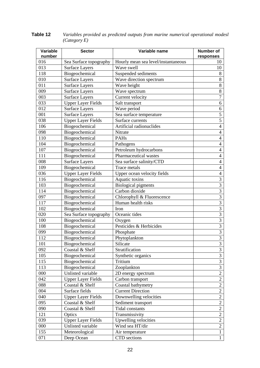| Variable<br>number | <b>Sector</b>             | Variable name                       | <b>Number of</b><br>responses |
|--------------------|---------------------------|-------------------------------------|-------------------------------|
| 016                | Sea Surface topography    | Hourly mean sea level/instantaneous | 10                            |
| 013                | <b>Surface Layers</b>     | Wave swell                          | 10                            |
| 118                | Biogeochemical            | Suspended sediments                 | 8                             |
| 010                | <b>Surface Layers</b>     | Wave direction spectrum             | $\,8\,$                       |
| 011                | <b>Surface Layers</b>     | Wave height                         | $8\,$                         |
| 009                | <b>Surface Layers</b>     | Wave spectrum                       | $8\,$                         |
| 003                | <b>Surface Layers</b>     | Current velocity                    | $\overline{7}$                |
| 033                | <b>Upper Layer Fields</b> | Salt transport                      | 6                             |
| 012                | <b>Surface Layers</b>     | Wave period                         | 6                             |
| 001                | <b>Surface Layers</b>     | Sea surface temperature             | 5                             |
| 038                | <b>Upper Layer Fields</b> | Surface currents                    | $\overline{5}$                |
| 106                | Biogeochemical            | Artificial radionuclides            | $\overline{4}$                |
| 098                | Biogeochemical            | Nitrate                             | $\overline{4}$                |
| 110                | Biogeochemical            | <b>PAHs</b>                         | $\overline{4}$                |
| 104                | Biogeochemical            | Pathogens                           | $\overline{4}$                |
| 107                | Biogeochemical            | Petroleum hydrocarbons              | $\overline{4}$                |
| 111                | Biogeochemical            | Pharmaceutical wastes               | $\overline{4}$                |
| 008                | <b>Surface Layers</b>     | Sea surface salinity/CTD            | $\overline{4}$                |
| 109                | Biogeochemical            | Trace metals                        | $\overline{4}$                |
| 036                | <b>Upper Layer Fields</b> | Upper ocean velocity fields         | $\overline{4}$                |
| 116                | Biogeochemical            | Aquatic toxins                      | 3                             |
| 103                | Biogeochemical            | <b>Biological pigments</b>          | 3                             |
| 114                | Biogeochemical            | Carbon dioxide                      | 3                             |
| 097                | Biogeochemical            | Chlorophyll & Fluorescence          | $\overline{3}$                |
| 117                | Biogeochemical            | Human health risks                  | $\overline{3}$                |
| 102                | Biogeochemical            | Iron                                | $\overline{3}$                |
| 020                | Sea Surface topography    | Oceanic tides                       | $\overline{3}$                |
| 100                | Biogeochemical            | Oxygen                              | $\overline{3}$                |
| 108                | Biogeochemical            | Pesticides & Herbicides             | $\overline{3}$                |
| 099                | Biogeochemical            | Phosphate                           | 3                             |
| 112                | Biogeochemical            | Phytoplankton                       | $\overline{3}$                |
| 101                | Biogeochemical            | Silicate                            | 3                             |
| 092                | Coastal & Shelf           | Stratification                      | 3                             |
| 105                | Biogeochemical            | Synthetic organics                  | 3                             |
| 115                | Biogeochemical            | Tritium                             | 3                             |
| 113                | Biogeochemical            | Zooplankton                         | 3                             |
| 000                | Unlisted variable         | 2D energy spectrum                  | $\overline{2}$                |
| 042                | <b>Upper Layer Fields</b> | Carbon transport                    | $\overline{c}$                |
| 088                | Coastal & Shelf           | Coastal bathymetry                  | $\overline{2}$                |
| 004                | Surface fields            | <b>Current Direction</b>            | $\overline{2}$                |
| 040                | <b>Upper Layer Fields</b> | Downwelling velocities              | $\overline{2}$                |
| 095                | Coastal & Shelf           | Sediment transport                  | $\sqrt{2}$                    |
| 090                | Coastal & Shelf           | Tidal constants                     | $\overline{2}$                |
| 121                | Optics                    | Transmissivity                      | $\overline{2}$                |
| 039                | <b>Upper Layer Fields</b> | Upwelling velocities                | $\overline{2}$                |
| 000                | Unlisted variable         | Wind sea HT/dir                     | $\sqrt{2}$                    |
| 155                | Meteorological            | Air temperature                     | $\mathbf{1}$                  |
| 071                | Deep Ocean                | CTD sections                        | $\mathbf{1}$                  |

**Table 12** *Variables provided as predicted outputs from marine numerical operational modesl (Category E)*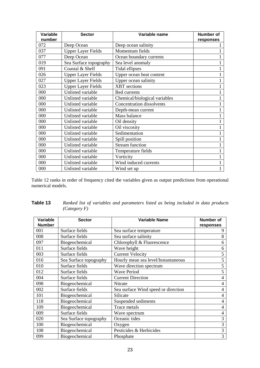| <b>Variable</b> | <b>Sector</b>             | Variable name                    | <b>Number of</b> |
|-----------------|---------------------------|----------------------------------|------------------|
| number          |                           |                                  | responses        |
| 072             | Deep Ocean                | Deep ocean salinity              |                  |
| 037             | <b>Upper Layer Fields</b> | Momentum fields                  |                  |
| 077             | Deep Ocean                | Ocean boundary currents          |                  |
| 019             | Sea Surface topography    | Sea level anomaly                |                  |
| 091             | Coastal & Shelf           | Tidal ellipses                   |                  |
| 026             | <b>Upper Layer Fields</b> | Upper ocean heat content         |                  |
| 027             | <b>Upper Layer Fields</b> | Upper ocean salinity             |                  |
| 023             | <b>Upper Layer Fields</b> | <b>XBT</b> sections              |                  |
| 000             | Unlisted variable         | Bed currents                     |                  |
| 000             | Unlisted variable         | Chemical/biological variables    |                  |
| 000             | Unlisted variable         | <b>Concentration dissolvents</b> |                  |
| 000             | Unlisted variable         | Depth-mean current               |                  |
| 000             | Unlisted variable         | Mass balance                     |                  |
| 000             | Unlisted variable         | Oil density                      |                  |
| 000             | Unlisted variable         | Oil viscosity                    |                  |
| 000             | Unlisted variable         | Sedimentation                    |                  |
| 000             | Unlisted variable         | Spill position                   |                  |
| 000             | Unlisted variable         | <b>Stream function</b>           |                  |
| 000             | Unlisted variable         | Temperature fields               |                  |
| 000             | Unlisted variable         | Vorticity                        |                  |
| 000             | Unlisted variable         | Wind induced currents            |                  |
| 000             | Unlisted variable         | Wind set up                      | 1                |

Table 12 ranks in order of frequency cited the variables given as output predictions from operational numerical models.

| Variable<br><b>Number</b> | <b>Sector</b>          | <b>Variable Name</b>                | Number of<br>responses |
|---------------------------|------------------------|-------------------------------------|------------------------|
| 001                       | Surface fields         | Sea surface temperature             | 9                      |
| 008                       | Surface fields         | Sea surface salinity                | 8                      |
| 097                       | Biogeochemical         | Chlorophyll & Fluorescence          | 6                      |
| 011                       | Surface fields         | Wave height                         | 6                      |
| 003                       | Surface fields         | <b>Current Velocity</b>             | 5                      |
| 016                       | Sea Surface topography | Hourly mean sea level/Instantaneous | 5                      |
| 010                       | Surface fields         | Wave direction spectrum             | 5                      |
| 012                       | Surface fields         | <b>Wave Period</b>                  | 5                      |
| 004                       | Surface fields         | <b>Current Direction</b>            | 4                      |
| 098                       | Biogeochemical         | Nitrate                             | 4                      |
| 002                       | Surface fields         | Sea surface Wind speed or direction | 4                      |
| 101                       | Biogeochemical         | Silicate                            | 4                      |
| 118                       | Biogeochemical         | Suspended sediments                 | 4                      |
| 109                       | Biogeochemical         | Trace metals                        | 4                      |
| 009                       | Surface fields         | Wave spectrum                       | 4                      |
| 020                       | Sea Surface topography | Oceanic tides                       | 3                      |
| 100                       | Biogeochemical         | Oxygen                              | 3                      |
| 108                       | Biogeochemical         | Pesticides & Herbicides             | 3                      |
| 099                       | Biogeochemical         | Phosphate                           | 3                      |

| Table 13 | Ranked list of variables and parameters listed as being included in data products |
|----------|-----------------------------------------------------------------------------------|
|          | (Category F)                                                                      |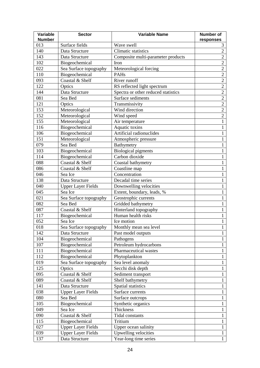| Variable<br><b>Number</b> | <b>Sector</b>             | <b>Variable Name</b>                | <b>Number of</b><br>responses |
|---------------------------|---------------------------|-------------------------------------|-------------------------------|
| 013                       | Surface fields            | Wave swell                          | 3                             |
| 140                       | Data Structure            | Climatic statistics                 | $\overline{2}$                |
| 143                       | Data Structure            | Composite multi-parameter products  | $\overline{2}$                |
| 102                       | Biogeochemical            | Iron                                | $\overline{2}$                |
| 022                       | Sea Surface topography    | Meteorological forcing              | $\overline{2}$                |
| 110                       | Biogeochemical            | PAHs                                | $\overline{2}$                |
| 093                       | Coastal & Shelf           | River runoff                        | $\overline{2}$                |
| 122                       | Optics                    | RS reflected light spectrum         | $\overline{2}$                |
| 144                       | Data Structure            | Spectra or other reduced statistics | $\overline{2}$                |
| 081                       | Sea Bed                   | Surface sediments                   | $\overline{2}$                |
| 121                       | Optics                    | Transmissivity                      | $\overline{2}$                |
| 153                       | Meteorological            | Wind direction                      | $\overline{2}$                |
| 152                       | Meteorological            | Wind speed                          | $\overline{2}$                |
| 155                       | Meteorological            | Air temperature                     | 1                             |
| 116                       | Biogeochemical            | Aquatic toxins                      | 1                             |
| 106                       | Biogeochemical            | Artificial radionuclides            | 1                             |
| 151                       | Meteorological            | Atmospheric pressure                | 1                             |
| 079                       | Sea Bed                   | Bathymetry                          | 1                             |
| 103                       | Biogeochemical            | <b>Biological pigments</b>          | 1                             |
| 114                       | Biogeochemical            | Carbon dioxide                      | 1                             |
| 088                       | Coastal & Shelf           | Coastal bathymetry                  | $\mathbf{1}$                  |
| 086                       | Coastal & Shelf           | Coastline map                       | $\mathbf{1}$                  |
| 046                       | Sea Ice                   | Concentration                       | $\mathbf{1}$                  |
| 138                       | Data Structure            | Decadal time series                 | 1                             |
| 040                       | <b>Upper Layer Fields</b> | Downwelling velocities              | 1                             |
| 045                       | Sea Ice                   | Extent, boundary, leads, %          | 1                             |
| 021                       | Sea Surface topography    | Geostrophic currents                | 1                             |
| 082                       | Sea Bed                   | Gridded bathymetry                  | 1                             |
| 087                       | Coastal & Shelf           | Hinterland topography               | 1                             |
| 117                       | Biogeochemical            | Human health risks                  | 1                             |
| 052                       | Sea Ice                   | Ice motion                          | 1                             |
| 018                       | Sea Surface topography    | Monthly mean sea level              | $\mathbf{1}$                  |
| 142                       | Data Structure            | Past model outputs                  | $\mathbf{1}$                  |
| 104                       | Biogeochemical            | Pathogens                           | $\mathbf{1}$                  |
| 107                       | Biogeochemical            | Petroleum hydrocarbons              | $\mathbf{1}$                  |
| 111                       | Biogeochemical            | Pharmaceutical wastes               | $\mathbf{1}$                  |
| 112                       | Biogeochemical            | Phytoplankton                       | 1                             |
| 019                       | Sea Surface topography    | Sea level anomaly                   | 1                             |
| 125                       | Optics                    | Secchi disk depth                   | 1                             |
| 095                       | Coastal & Shelf           | Sediment transport                  | 1                             |
| 089                       | Coastal & Shelf           | Shelf bathymetry                    | 1                             |
| 141                       | Data Structure            | Spatial statistics                  | 1                             |
| 038                       | <b>Upper Layer Fields</b> | Surface currents                    | 1                             |
| 080                       | Sea Bed                   | Surface outcrops                    | 1                             |
| 105                       | Biogeochemical            | Synthetic organics                  | 1                             |
| 049                       | Sea Ice                   | Thickness                           | 1                             |
| 090                       | Coastal & Shelf           | Tidal constants                     | 1                             |
| 115                       | Biogeochemical            | Tritium                             | 1                             |
| 027                       | <b>Upper Layer Fields</b> | Upper ocean salinity                | $\mathbf{1}$                  |
| 039                       | <b>Upper Layer Fields</b> | Upwelling velocities                | $\mathbf{1}$                  |
| 137                       | Data Structure            | Year-long time series               | $\mathbf{1}$                  |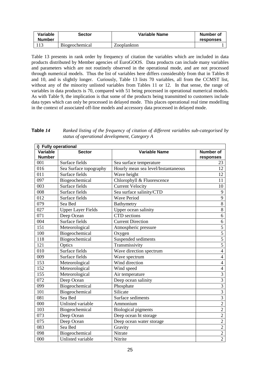| Variable<br><b>Number</b> | <b>Sector</b>         | Variable Name | Number of<br>responses |
|---------------------------|-----------------------|---------------|------------------------|
|                           | <b>Biogeochemical</b> | Zooplankton   |                        |

Table 13 presents in rank order by frequency of citation the variables which are included in data products distributed by Member agencies of EuroGOOS. Data products can include many variables and parameters which are not routinely observed in the operational mode, and are not processed through numerical models. Thus the list of variables here differs considerably from that in Tables 8 and 10, and is slightly longer. Curiously, Table 13 lists 70 variables, all from the CCMST list, without any of the minority unlisted variables from Tables 11 or 12. In that sense, the range of variables in data products is 70, compared with 51 being processed in operational numerical models. As with Table 9, the implication is that some of the products being transmitted to customers include data types which can only be processed in delayed mode. This places operational real time modelling in the context of associated off-line models and accessory data processed in delayed mode.

| Table 14 | Ranked listing of the frequency of citation of different variables sub-categorised by |
|----------|---------------------------------------------------------------------------------------|
|          | status of operational development, Category A                                         |

|               |                           |                                     | i) Fully operational |  |  |  |
|---------------|---------------------------|-------------------------------------|----------------------|--|--|--|
| Variable      | <b>Sector</b>             | <b>Variable Name</b>                | Number of            |  |  |  |
| <b>Number</b> | Surface fields            |                                     | responses            |  |  |  |
| 001           |                           | Sea surface temperature             | 23                   |  |  |  |
| 016           | Sea Surface topography    | Hourly mean sea level/Instantaneous | 12                   |  |  |  |
| 011           | Surface fields            | Wave height                         | 12                   |  |  |  |
| 097           | Biogeochemical            | Chlorophyll & Fluorescence          | 11                   |  |  |  |
| 003           | Surface fields            | <b>Current Velocity</b>             | 10                   |  |  |  |
| 008           | Surface fields            | Sea surface salinity/CTD            | 9                    |  |  |  |
| 012           | Surface fields            | <b>Wave Period</b>                  | 9                    |  |  |  |
| 079           | Sea Bed                   | Bathymetry                          | $\overline{8}$       |  |  |  |
| 027           | <b>Upper Layer Fields</b> | Upper ocean salinity                | 8                    |  |  |  |
| 071           | Deep Ocean                | <b>CTD</b> sections                 | 6                    |  |  |  |
| 004           | Surface fields            | <b>Current Direction</b>            | $\sqrt{6}$           |  |  |  |
| 151           | Meteorological            | Atmospheric pressure                | $\overline{5}$       |  |  |  |
| 100           | Biogeochemical            | Oxygen                              | $\overline{5}$       |  |  |  |
| 118           | Biogeochemical            | Suspended sediments                 | $\overline{5}$       |  |  |  |
| 121           | Optics                    | Transmissivity                      | $\overline{5}$       |  |  |  |
| 010           | Surface fields            | Wave direction spectrum             | $\overline{4}$       |  |  |  |
| 009           | Surface fields            | Wave spectrum                       | $\overline{4}$       |  |  |  |
| 153           | Meteorological            | Wind direction                      | $\overline{4}$       |  |  |  |
| 152           | Meteorological            | Wind speed                          | $\overline{4}$       |  |  |  |
| 155           | Meteorological            | Air temperature                     | $\overline{3}$       |  |  |  |
| 072           | Deep Ocean                | Deep ocean salinity                 | $\overline{3}$       |  |  |  |
| 099           | Biogeochemical            | Phosphate                           | $\overline{3}$       |  |  |  |
| 101           | Biogeochemical            | Silicate                            | $\overline{3}$       |  |  |  |
| 081           | Sea Bed                   | Surface sediments                   | $\overline{3}$       |  |  |  |
| 000           | Unlisted variable         | Ammonium                            | $\overline{2}$       |  |  |  |
| 103           | Biogeochemical            | <b>Biological pigments</b>          | $\overline{2}$       |  |  |  |
| 073           | Deep Ocean                | Deep ocean ht storage               | $\overline{2}$       |  |  |  |
| 075           | Deep Ocean                | Deep ocean water storage            | $\overline{2}$       |  |  |  |
| 083           | Sea Bed                   | Gravity                             | $\overline{2}$       |  |  |  |
| 098           | Biogeochemical            | Nitrate                             | $\overline{2}$       |  |  |  |
| 000           | Unlisted variable         | Nitrite                             | $\overline{2}$       |  |  |  |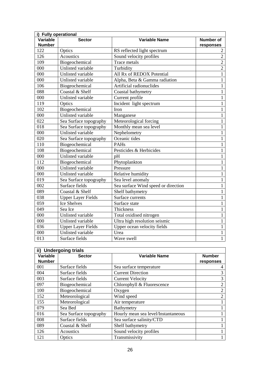|               | i) Fully operational      |                                     |                  |  |
|---------------|---------------------------|-------------------------------------|------------------|--|
| Variable      | <b>Sector</b>             | <b>Variable Name</b>                | <b>Number of</b> |  |
| <b>Number</b> |                           |                                     | responses        |  |
| 122           | Optics                    | RS reflected light spectrum         | $\overline{2}$   |  |
| 126           | Acoustics                 | Sound velocity profiles             | $\overline{2}$   |  |
| 109           | Biogeochemical            | Trace metals                        | $\overline{2}$   |  |
| 000           | Unlisted variable         | Turbidity                           | $\overline{2}$   |  |
| 000           | Unlisted variable         | All Rx of REDOX Potential           | $\mathbf{1}$     |  |
| 000           | Unlisted variable         | Alpha, Beta & Gamma radiation       | $\mathbf{1}$     |  |
| 106           | Biogeochemical            | Artificial radionuclides            | $\mathbf{1}$     |  |
| 088           | Coastal & Shelf           | Coastal bathymetry                  | $\mathbf{1}$     |  |
| 000           | Unlisted variable         | Current profile                     | $\mathbf{1}$     |  |
| 119           | Optics                    | Incident light spectrum             | $\mathbf{1}$     |  |
| 102           | Biogeochemical            | Iron                                | $\mathbf{1}$     |  |
| 000           | Unlisted variable         | Manganese                           | 1                |  |
| 022           | Sea Surface topography    | Meteorological forcing              | 1                |  |
| 018           | Sea Surface topography    | Monthly mean sea level              | $\mathbf{1}$     |  |
| 000           | Unlisted variable         | Nephelometry                        | $\mathbf{1}$     |  |
| 020           | Sea Surface topography    | Oceanic tides                       | $\mathbf{1}$     |  |
| 110           | Biogeochemical            | <b>PAHs</b>                         | $\mathbf{1}$     |  |
| 108           | Biogeochemical            | Pesticides & Herbicides             | 1                |  |
| 000           | Unlisted variable         | pH                                  | 1                |  |
| 112           | Biogeochemical            | Phytoplankton                       | 1                |  |
| 000           | Unlisted variable         | Pressure                            | $\mathbf{1}$     |  |
| 000           | Unlisted variable         | Relative humidity                   | 1                |  |
| 019           | Sea Surface topography    | Sea level anomaly                   | 1                |  |
| 002           | Surface fields            | Sea surface Wind speed or direction | $\mathbf{1}$     |  |
| 089           | Coastal & Shelf           | Shelf bathymetry                    | $\mathbf{1}$     |  |
| 038           | <b>Upper Layer Fields</b> | Surface currents                    | $\mathbf{1}$     |  |
| 059           | Ice Shelves               | Surface state                       | $\mathbf{1}$     |  |
| 049           | Sea Ice                   | Thickness                           | $\mathbf{1}$     |  |
| 000           | Unlisted variable         | Total oxidised nitrogen             | 1                |  |
| 000           | Unlisted variable         | Ultra high resolution seismic       | 1                |  |
| 036           | <b>Upper Layer Fields</b> | Upper ocean velocity fields         | $\mathbf{1}$     |  |
| 000           | Unlisted variable         | Urea                                | $\mathbf 1$      |  |
| 013           | Surface fields            | Wave swell                          | 1                |  |

| ii) Undergoing trials |                        |                                     |                |  |
|-----------------------|------------------------|-------------------------------------|----------------|--|
| Variable              | <b>Sector</b>          | Variable Name                       | <b>Number</b>  |  |
| <b>Number</b>         |                        |                                     | responses      |  |
| 001                   | Surface fields         | Sea surface temperature             |                |  |
| 004                   | Surface fields         | <b>Current Direction</b>            | 3              |  |
| 003                   | Surface fields         | <b>Current Velocity</b>             | 3              |  |
| 097                   | Biogeochemical         | Chlorophyll & Fluorescence          | $\overline{2}$ |  |
| 100                   | Biogeochemical         | Oxygen                              | $\overline{2}$ |  |
| 152                   | Meteorological         | Wind speed                          | $\overline{2}$ |  |
| 155                   | Meteorological         | Air temperature                     |                |  |
| 079                   | Sea Bed                | Bathymetry                          |                |  |
| 016                   | Sea Surface topography | Hourly mean sea level/Instantaneous |                |  |
| 008                   | Surface fields         | Sea surface salinity/CTD            |                |  |
| 089                   | Coastal & Shelf        | Shelf bathymetry                    |                |  |
| 126                   | Acoustics              | Sound velocity profiles             |                |  |
| 121                   | Optics                 | Transmissivity                      |                |  |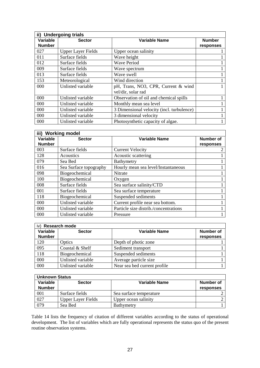| ii) Undergoing trials |                           |                                           |               |
|-----------------------|---------------------------|-------------------------------------------|---------------|
| Variable              | <b>Sector</b>             | Variable Name                             | <b>Number</b> |
| <b>Number</b>         |                           |                                           | responses     |
| 027                   | <b>Upper Layer Fields</b> | Upper ocean salinity                      |               |
| 011                   | Surface fields            | Wave height                               |               |
| 012                   | Surface fields            | <b>Wave Period</b>                        |               |
| 009                   | Surface fields            | Wave spectrum                             |               |
| 013                   | Surface fields            | Wave swell                                |               |
| 153                   | Meteorological            | Wind direction                            |               |
| 000                   | Unlisted variable         | pH, Trans, NO3, CPR, Current & wind       |               |
|                       |                           | vel/dir, solar rad                        |               |
| 000                   | Unlisted variable         | Observation of oil and chemical spills    |               |
| 000                   | Unlisted variable         | Monthly mean sea level                    |               |
| 000                   | Unlisted variable         | 3 Dimensional velocity (incl. turbulence) |               |
| 000                   | Unlisted variable         | 3 dimensional velocity                    |               |
| 000                   | Unlisted variable         | Photosynthetic capacity of algae.         |               |

| iii) Working model |                        |                                       |           |
|--------------------|------------------------|---------------------------------------|-----------|
| Variable           | <b>Sector</b>          | <b>Variable Name</b>                  | Number of |
| <b>Number</b>      |                        |                                       | responses |
| 003                | Surface fields         | <b>Current Velocity</b>               |           |
| 128                | <b>Acoustics</b>       | Acoustic scattering                   |           |
| 079                | Sea Bed                | Bathymetry                            |           |
| 016                | Sea Surface topography | Hourly mean sea level/Instantaneous   |           |
| 098                | Biogeochemical         | Nitrate                               |           |
| 100                | Biogeochemical         | Oxygen                                |           |
| 008                | Surface fields         | Sea surface salinity/CTD              |           |
| 001                | Surface fields         | Sea surface temperature               |           |
| 118                | Biogeochemical         | Suspended sediments                   |           |
| 000                | Unlisted variable      | Current profile near sea bottom.      |           |
| 000                | Unlisted variable      | Particle size distrib./concentrations |           |
| 000                | Unlisted variable      | Pressure                              |           |

| iv) Research mode |                   |                              |                  |
|-------------------|-------------------|------------------------------|------------------|
| Variable          | <b>Sector</b>     | <b>Variable Name</b>         | <b>Number of</b> |
| <b>Number</b>     |                   |                              | responses        |
| 120               | Optics            | Depth of photic zone         |                  |
| 095               | Coastal & Shelf   | Sediment transport           |                  |
| 118               | Biogeochemical    | Suspended sediments          |                  |
| 000               | Unlisted variable | Average particle size        |                  |
| 000               | Unlisted variable | Near sea bed current profile |                  |

| <b>Unknown Status</b> |                           |                         |                  |
|-----------------------|---------------------------|-------------------------|------------------|
| Variable              | <b>Sector</b>             | Variable Name           | Number of        |
| <b>Number</b>         |                           |                         | <b>responses</b> |
| 001                   | Surface fields            | Sea surface temperature |                  |
| 027                   | <b>Upper Layer Fields</b> | Upper ocean salinity    |                  |
| 079                   | Sea Bed                   | <b>Bathymetry</b>       |                  |

Table 14 lists the frequency of citation of different variables according to the status of operational development. The list of variables which are fully operational represents the status quo of the present routine observation systems.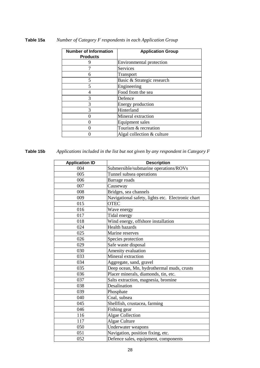| <b>Number of Information</b><br><b>Products</b> | <b>Application Group</b>   |
|-------------------------------------------------|----------------------------|
| 9                                               | Environmental protection   |
|                                                 | Services                   |
| 6                                               | Transport                  |
| 5                                               | Basic & Strategic research |
| $\overline{\mathcal{L}}$                        | Engineering                |
|                                                 | Food from the sea          |
| 3                                               | Defence                    |
| 3                                               | <b>Energy production</b>   |
| 3                                               | Hinterland                 |
|                                                 | Mineral extraction         |
|                                                 | Equipment sales            |
|                                                 | Tourism & recreation       |
|                                                 | Algal collection & culture |

### **Table 15a** *Number of Category F respondents in each Application Group*

**Table 15b** *Applications included in the list but not given by any respondent in Category F*

| <b>Application ID</b> | <b>Description</b>                                |
|-----------------------|---------------------------------------------------|
| 004                   | Submersible/submarine operations/ROVs             |
| 005                   | Tunnel subsea operations                          |
| 006                   | Barrage roads                                     |
| 007                   | Causeway                                          |
| 008                   | Bridges, sea channels                             |
| 009                   | Navigational safety, lights etc. Electronic chart |
| 015                   | <b>OTEC</b>                                       |
| 016                   | Wave energy                                       |
| 017                   | Tidal energy                                      |
| 018                   | Wind energy, offshore installation                |
| 024                   | <b>Health hazards</b>                             |
| 025                   | Marine reserves                                   |
| 026                   | Species protection                                |
| 029                   | Safe waste disposal                               |
| 030                   | Amenity evaluation                                |
| 033                   | Mineral extraction                                |
| 034                   | Aggregate, sand, gravel                           |
| 035                   | Deep ocean, Mn, hydrothermal muds, crusts         |
| 036                   | Placer minerals, diamonds, tin, etc.              |
| 037                   | Salts extraction, magnesia, bromine               |
| 038                   | Desalination                                      |
| 039                   | Phosphate                                         |
| 040                   | Coal, subsea                                      |
| 045                   | Shellfish, crustacea, farming                     |
| 046                   | Fishing gear                                      |
| 116                   | <b>Algae Collection</b>                           |
| 117                   | Algae Culture                                     |
| 050                   | Underwater weapons                                |
| 051                   | Navigation, position fixing, etc.                 |
| 052                   | Defence sales, equipment, components              |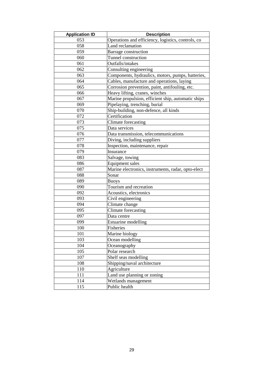| <b>Application ID</b> | <b>Description</b>                                 |  |
|-----------------------|----------------------------------------------------|--|
| 053                   | Operations and efficiency, logistics, controls, co |  |
| 058                   | Land reclamation                                   |  |
| 059                   | Barrage construction                               |  |
| 060                   | Tunnel construction                                |  |
| 061                   | Outfalls/intakes                                   |  |
| 062                   | Consulting engineering                             |  |
| 063                   | Components, hydraulics, motors, pumps, batteries,  |  |
| 064                   | Cables, manufacture and operations, laying         |  |
| 065                   | Corrosion prevention, paint, antifouling, etc.     |  |
| 066                   | Heavy lifting, cranes, winches                     |  |
| 067                   | Marine propulsion, efficient ship, automatic ships |  |
| 069                   | Pipelaying, trenching, burial                      |  |
| 070                   | Ship-building, non-defence, all kinds              |  |
| 072                   | Certification                                      |  |
| 073                   | Climate forecasting                                |  |
| 075                   | Data services                                      |  |
| 076                   | Data transmission, telecommunications              |  |
| 077                   | Diving, including suppliers                        |  |
| 078                   | Inspection, maintenance, repair                    |  |
| 079                   | Insurance                                          |  |
| 083                   | Salvage, towing                                    |  |
| 086                   | <b>Equipment sales</b>                             |  |
| 087                   | Marine electronics, instruments, radar, opto-elect |  |
| 088                   | Sonar                                              |  |
| 089                   | <b>Buoys</b>                                       |  |
| 090                   | Tourism and recreation                             |  |
| 092                   | Acoustics, electronics                             |  |
| 093                   | Civil engineering                                  |  |
| 094                   | Climate change                                     |  |
| 095                   | Climate forecasting                                |  |
| 097                   | Data centre                                        |  |
| 099                   | <b>Estuarine modelling</b>                         |  |
| 100                   | Fisheries                                          |  |
| 101                   | Marine biology                                     |  |
| 103                   | Ocean modelling                                    |  |
| 104                   | Oceanography                                       |  |
| 105                   | Polar research                                     |  |
| 107                   | Shelf seas modelling                               |  |
| 108                   | Shipping/naval architecture                        |  |
| 110                   | Agriculture                                        |  |
| 111                   | Land use planning or zoning                        |  |
| 114                   | Wetlands management                                |  |
| 115                   | Public health                                      |  |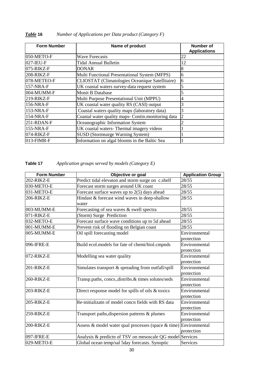| <b>Form Number</b> | Name of product                                    | <b>Number of</b><br><b>Applications</b> |
|--------------------|----------------------------------------------------|-----------------------------------------|
| 050-METO-F         | <b>Wave Forecasts</b>                              | 22                                      |
| 027-IEU-F          | <b>Tidal Annual Bulletin</b>                       | 12                                      |
| 075-RIKZ-F         | <b>DONAR</b>                                       | 8                                       |
| 208-RIKZ-F         | Multi Functional Presentational System (MFPS)      | 6                                       |
| 078-METEO-F        | CLIOSTAT (Climatologies Oceanique Satellitaire)    | 6                                       |
| 157-NRA-F          | UK coastal waters survey-data request system       |                                         |
| 004-MUMM-F         | Monit B Database                                   |                                         |
| $219-RIKZ-F$       | Multi Purpose Presentational Unit (MPPU)           | 4                                       |
| 156-NRA-F          | UK coastal water quality RS (CASI) output          |                                         |
| 153-NRA-F          | Coastal waters quality maps (laboratory data)      |                                         |
| 154-NRA-F          | Coastal water quality maps- Contin.monitoring data | 2                                       |
| $251 - RDAN-F$     | Oceanographic Information System                   |                                         |
| 155-NRA-F          | UK coastal waters-Thermal imagery videos           |                                         |
| 074-RIKZ-F         | SUSD (Stormsurge Warning System)                   |                                         |
| 013-FIMR-F         | Information on algal blooms in the Baltic Sea      |                                         |

# *Table* **16** *Number of Applications per Data product (Category F)*

# **Table 17** *Application groups served by models (Category E)*

| Form Number | Objective or goal                                         | <b>Application Group</b> |
|-------------|-----------------------------------------------------------|--------------------------|
| 202-RIKZ-E  | Predict tidal elevaton and storm surge on c.shelf         | 28/55                    |
| 030-METO-E  | Forecast storm surges around UK coast                     | 28/55                    |
| 031-METO-E  | Forecast surface waves up to 2(5) days ahead              | 28/55                    |
| 206-RIKZ-E  | Hindast & forecast wind waves in deep-shallow             | 28/55                    |
|             | water                                                     |                          |
| 003-MUMM-E  | Forecasting of sea waves & swell spectra                  | 28/55                    |
| 071-RIKZ-E  | (Storm) Surge Prediction                                  | 28/55                    |
| 032-METO-E  | Forecast surface wave conditions up to 5d ahead           | 28/55                    |
| 001-MUMM-E  | Prevent risk of flooding on Belgian coast                 | 28/55                    |
| 005-MUMM-E  | Oil spill forecasting model                               | Environmental            |
|             |                                                           | protection               |
| 096-IFRE-E  | Build ecol.models for fate of chemi/biol.cmpnds           | Environmental            |
|             |                                                           | protection               |
| 072-RIKZ-E  | Modelling sea water quality                               | Environmental            |
|             |                                                           | protection               |
| 201-RIKZ-E  | Simulates transport & spreading from outfall/spill        | Environmental            |
|             |                                                           | protection               |
| 260-RIKZ-E  | Transp.paths, concs., distribs. & times solutes/seds      | Environmental            |
|             |                                                           | protection               |
| 203-RIKZ-E  | Direct response model for spills of oils & toxics         | Environmental            |
|             |                                                           | protection               |
| 205-RIKZ-E  | Re-initializatn of model concn fields with RS data        | Environmental            |
|             |                                                           | protection               |
| 259-RIKZ-E  | Transport paths, dispersion patterns & plumes             | Environmental            |
|             |                                                           | protection               |
| 200-RIKZ-E  | Assess & model water qual processes (space & time)        | Environmental            |
|             |                                                           | protection               |
| 097-IFRE-E  | Analysis & predictn of TSV on mesoscale QG model Services |                          |
| 029-METO-E  | Global ocean temp/sal 5day forecasts. Synoptic            | Services                 |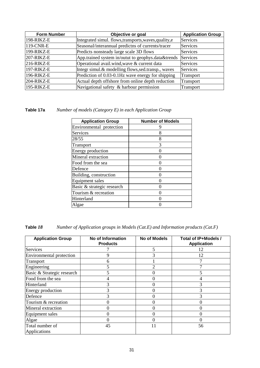| <b>Form Number</b> | Objective or goal                                      | <b>Application Group</b> |
|--------------------|--------------------------------------------------------|--------------------------|
| 198-RIKZ-E         | Integrated simul. flows, transports, waves, quality, e | Services                 |
| 119-CNR-E          | Seasonal/interannual predictns of currents/tracer      | Services                 |
| 199-RIKZ-E         | Predicts nonsteady large scale 3D flows                | Services                 |
| $207$ -RIKZ-E      | App.trained system in/outut to geophys.data&trends     | Services                 |
| $216$ -RIKZ-E      | Operational avail.wind, wave & current data            | Services                 |
| 197-RIKZ-E         | Integr simul.& modelling flows, sed.transp., waves     | Services                 |
| 196-RIKZ-E         | Prediction of 0.03-0.1Hz wave energy for shipping      | Transport                |
| $204$ -RIKZ-E      | Actual depth offshore from online depth reduction      | Transport                |
| 195-RIKZ-E         | Navigational safety & harbour permission               | Transport                |

# **Table 17a** *Number of models (Category E) in each Application Group*

| <b>Application Group</b>   | <b>Number of Models</b> |
|----------------------------|-------------------------|
| Environmental protection   |                         |
| Services                   | 8                       |
| 28/55                      | 8                       |
| Transport                  | 3                       |
| <b>Energy production</b>   |                         |
| Mineral extraction         |                         |
| Food from the sea          |                         |
| Defence                    |                         |
| Building, construction     |                         |
| <b>Equipment</b> sales     |                         |
| Basic & strategic research |                         |
| Tourism & recreation       |                         |
| Hinterland                 |                         |
| Algae                      |                         |

| <b>Application Group</b>   | No of Information<br><b>Products</b> | <b>No of Models</b> | Total of IP+Models /<br><b>Application</b> |
|----------------------------|--------------------------------------|---------------------|--------------------------------------------|
| Services                   |                                      | 5                   | 12                                         |
| Environmental protection   | 9                                    | 3                   | 12                                         |
| Transport                  | 6                                    |                     |                                            |
| Engineering                | 5                                    | $\overline{2}$      |                                            |
| Basic & Strategic research | 5                                    |                     |                                            |
| Food from the sea          | 4                                    |                     |                                            |
| Hinterland                 | 3                                    | 0                   | 3                                          |
| Energy production          | 3                                    |                     | 3                                          |
| Defence                    | 3                                    | 0                   | 3                                          |
| Tourism & recreation       | 0                                    |                     | 0                                          |
| Mineral extraction         | 0                                    |                     | Λ                                          |
| Equipment sales            | 0                                    |                     |                                            |
| Algae                      | 0                                    | 0                   | 0                                          |
| Total number of            | 45                                   | 11                  | 56                                         |
| Applications               |                                      |                     |                                            |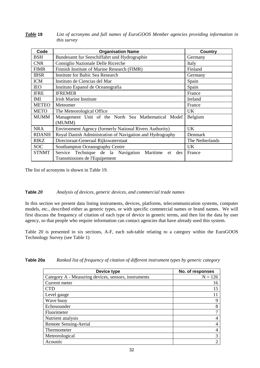| Table 19 | List of acronyms and full names of EuroGOOS Member agencies providing information in |
|----------|--------------------------------------------------------------------------------------|
|          | <i>this survey</i>                                                                   |

| Code         | <b>Organisation Name</b>                                  | Country         |
|--------------|-----------------------------------------------------------|-----------------|
| <b>BSH</b>   | Bundesamt fur Seeschiffahrt und Hydrographie              | Germany         |
| <b>CNR</b>   | Consiglio Nazionale Delle Ricerche                        | Italy           |
| <b>FIMR</b>  | Finnish Institute of Marine Research (FIMR)               | Finland         |
| <b>IBSR</b>  | Institute for Baltic Sea Research                         | Germany         |
| <b>ICM</b>   | Instituto de Ciencias del Mar                             | Spain           |
| <b>IEO</b>   | Instituto Espanol de Oceanografia                         | Spain           |
| <b>IFRE</b>  | <b>IFREMER</b>                                            | France          |
| <b>IMI</b>   | Irish Marine Institute                                    | Ireland         |
| <b>METEO</b> | Meteomer                                                  | France          |
| <b>METO</b>  | The Meteorological Office                                 | <b>UK</b>       |
| <b>MUMM</b>  | Management Unit of the North Sea Mathematical Model       | Belgium         |
|              | (MUMM)                                                    |                 |
| <b>NRA</b>   | Environment Agency (formerly National Rivers Authority)   | <b>UK</b>       |
| <b>RDANH</b> | Royal Danish Administration of Navigation and Hydrography | Denmark         |
| <b>RIKZ</b>  | Directoraat-Generaal Rijkswaterstaat                      | The Netherlands |
| <b>SOC</b>   | Southampton Oceanography Centre                           | <b>UK</b>       |
| <b>STNMT</b> | Service Technique de la Navigation Maritime<br>des<br>et  | France          |
|              | Transmissions de l'Equipement                             |                 |

The list of acronyms is shown in Table 19.

#### **Table** *20 Analysis of devices, generic devices, and commercial trade names*

In this section we present data listing instruments, devices, platforms, telecommunication systems, computer models, etc., described either as generic types, or with specific commercial names or brand names. We will first discuss the frequency of citation of each type of device in generic terms, and then list the data by user agency, so that people who require information can contact agencies that have already used this system.

Table 20 is presented in six sections, A-F, each sub-table relating to a category within the EuroGOOS Technology Survey (see Table 1)

| Device type                                          | No. of responses |
|------------------------------------------------------|------------------|
| Category A - Measuring devices, sensors, instruments | $N = 126$        |
| Current meter                                        | 16               |
| ~TD                                                  | 15               |
| Level gauge                                          |                  |
| Wave buoy                                            | 9                |
| Echosounder                                          | 8                |
| Fluorimeter                                          | ¬                |
| Nutrient analysis                                    |                  |
| Remote Sensing-Aerial                                |                  |
| Thermometer                                          |                  |
| Meteorological                                       | 3                |
| Acoustic                                             | ◠                |

**Table 20a** *Ranked list of frequency of citation of different instrument types by generic category*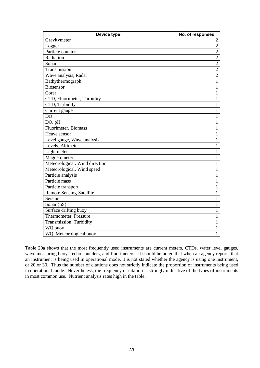| Device type                     | No. of responses |
|---------------------------------|------------------|
| Gravitymeter                    | 2                |
| Logger                          | $\overline{2}$   |
| Particle counter                | $\overline{2}$   |
| Radiation                       | $\overline{2}$   |
| Sonar                           | $\overline{2}$   |
| Transmission                    | $\overline{2}$   |
| Wave analysis, Radar            | $\overline{2}$   |
| Bathythermograph                | $\mathbf{1}$     |
| Biosensor                       | $\mathbf{1}$     |
| Corer                           | $\mathbf{1}$     |
| CTD, Fluorimeter, Turbidity     | $\mathbf{1}$     |
| CTD, Turbidity                  | 1                |
| Current gauge                   | $\mathbf{1}$     |
| <b>DO</b>                       | 1                |
| DO, pH                          | 1                |
| Fluorimeter, Biomass            | $\mathbf{1}$     |
| Heave sensor                    | 1                |
| Level gauge, Wave analysis      | 1                |
| Levels, Altimeter               | 1                |
| Light meter                     | 1                |
| Magnetometer                    | 1                |
| Meteorological, Wind direction  | 1                |
| Meteorological, Wind speed      | 1                |
| Particle analysis               | $\mathbf{1}$     |
| Particle mass                   | $\mathbf{1}$     |
| Particle transport              | $\mathbf{1}$     |
| <b>Remote Sensing-Satellite</b> | $\mathbf{1}$     |
| Seismic                         | 1                |
| Sonar (SS)                      | 1                |
| Surface drifting buoy           | $\mathbf{1}$     |
| Thermometer, Pressure           | 1                |
| Transmission, Turbidity         | 1                |
| WQ buoy                         | $\mathbf{1}$     |
| WQ, Meteorological buoy         | $\mathbf{1}$     |

Table 20a shows that the most frequently used instruments are current meters, CTDs, water level gauges, wave measuring buoys, echo sounders, and fluorimeters. It should be noted that when an agency reports that an instrument is being used in operational mode, it is not stated whether the agency is using one instrument, or 20 or 30. Thus the number of citations does not strictly indicate the proportion of instruments being used in operational mode. Nevertheless, the frequency of citation is strongly indicative of the types of instruments in most common use. Nutrient analysis rates high in the table.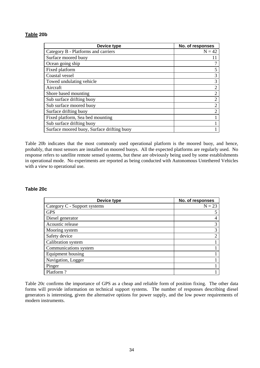#### **Table 20b**

| Device type                                | No. of responses |
|--------------------------------------------|------------------|
| Category B - Platforms and carriers        | $N = 42$         |
| Surface moored buoy                        |                  |
| Ocean going ship                           |                  |
| Fixed platform                             | 5                |
| Coastal vessel                             | 3                |
| Towed undulating vehicle                   | 3                |
| Aircraft                                   | $\overline{2}$   |
| Shore based mounting                       | $\overline{2}$   |
| Sub surface drifting buoy                  | $\overline{2}$   |
| Sub surface moored buoy                    | $\overline{2}$   |
| Surface drifting buoy                      | $\overline{2}$   |
| Fixed platform, Sea bed mounting           |                  |
| Sub surface drifting buoy                  |                  |
| Surface moored buoy, Surface drifting buoy |                  |

Table 20b indicates that the most commonly used operational platform is the moored buoy, and hence, probably, that most sensors are installed on moored buoys. All the expected platforms are regularly used. No response refers to satellite remote sensed systems, but these are obviously being used by some establishments in operational mode. No experiments are reported as being conducted with Autonomous Untethered Vehicles with a view to operational use.

#### **Table 20c**

| Device type                  | No. of responses |
|------------------------------|------------------|
| Category C - Support systems | $N = 23$         |
| <b>GPS</b>                   |                  |
| Diesel generator             |                  |
| Acoustic release             | 3                |
| Mooring system               | 3                |
| Safety device                | ◠                |
| Calibration system           |                  |
| Communications system        |                  |
| Equipment housing            |                  |
| Navigation, Logger           |                  |
| Pinger                       |                  |
| Platform?                    |                  |

Table 20c confirms the importance of GPS as a cheap and reliable form of position fixing. The other data forms will provide information on technical support systems. The number of responses describing diesel generators is interesting, given the alternative options for power supply, and the low power requirements of modern instruments.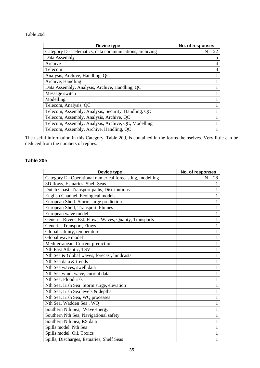#### Table 20d

| Device type                                             | No. of responses |
|---------------------------------------------------------|------------------|
| Category D - Telematics, data communications, archiving | $N = 22$         |
| Data Assembly                                           | 5                |
| Archive                                                 | 4                |
| Telecom                                                 | 3                |
| Analysis, Archive, Handling, QC                         |                  |
| Archive, Handling                                       |                  |
| Data Assembly, Analysis, Archive, Handling, QC          |                  |
| Message switch                                          |                  |
| Modelling                                               |                  |
| Telecom, Analysis, QC                                   |                  |
| Telecom, Assembly, Analysis, Security, Handling, QC     |                  |
| Telecom, Assembly, Analysis, Archive, QC                |                  |
| Telecom, Assembly, Analysis, Archive, QC, Modelling     |                  |
| Telecom, Assembly, Archive, Handling, QC                |                  |

The useful information in this Category, Table 20d, is contained in the forms themselves. Very little can be deduced from the numbers of replies.

#### **Table 20e**

| Device type                                               | No. of responses |
|-----------------------------------------------------------|------------------|
| Category E - Operational numerical forecasting, modelling | $N = 28$         |
| 3D flows, Estuaries, Shelf Seas                           |                  |
| Dutch Coast, Transport paths, Distributions               |                  |
| English Channel, Ecological models                        |                  |
| European Shelf, Storm surge prediction                    | 1                |
| European Shelf, Transport, Plumes                         | 1                |
| European wave model                                       |                  |
| Generic, Rivers, Est. Flows, Waves, Quality, Transports   |                  |
| Generic, Transport, Flows                                 |                  |
| Global salinity, temperature                              |                  |
| Global wave model                                         | 1                |
| Mediterranean, Current predictions                        |                  |
| Nth East Atlantic, TSV                                    |                  |
| Nth Sea & Global waves, forecast, hindcasts               |                  |
| Nth Sea data & trends                                     |                  |
| Nth Sea waves, swell data                                 |                  |
| Nth Sea wind, wave, current data                          | 1                |
| Nth Sea, Flood risk                                       | 1                |
| Nth Sea, Irish Sea Storm surge, elevation                 |                  |
| Nth Sea, Irish Sea levels & depths                        |                  |
| Nth Sea, Irish Sea, WQ processes                          |                  |
| Nth Sea, Wadden Sea, WQ                                   |                  |
| Southern Nth Sea, Wave energy                             |                  |
| Southern Nth Sea, Navigational safety                     | 1                |
| Southern Nth Sea, RS data                                 | 1                |
| Spills model, Nth Sea                                     |                  |
| Spills model, Oil, Toxics                                 | 1                |
| Spills, Discharges, Estuaries, Shelf Seas                 | 1                |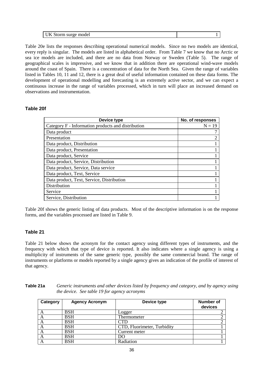| mode.<br>  UK Storm surge |  |
|---------------------------|--|

Table 20e lists the responses describing operational numerical models. Since no two models are identical, every reply is singular. The models are listed in alphabetical order. From Table 7 we know that no Arctic or sea ice models are included, and there are no data from Norway or Sweden (Table 5). The range of geographical scales is impressive, and we know that in addition there are operational wind-wave models around the coast of Spain. There is a concentration of data for the North Sea. Given the range of variables listed in Tables 10, 11 and 12, there is a great deal of useful information contained on these data forms. The development of operational modelling and forecasting is an extremely active sector, and we can expect a continuous increase in the range of variables processed, which in turn will place an increased demand on observations and instrumentation.

#### **Table 20f**

| Device type                                        | No. of responses |
|----------------------------------------------------|------------------|
| Category F - Information products and distribution | $N = 19$         |
| Data product                                       |                  |
| Presentation                                       |                  |
| Data product, Distribution                         |                  |
| Data product, Presentation                         |                  |
| Data product, Service                              |                  |
| Data product, Service, Distribution                |                  |
| Data product, Service, Data service                |                  |
| Data product, Text, Service                        |                  |
| Data product, Text, Service, Distribution          |                  |
| Distribution                                       |                  |
| Service                                            |                  |
| Service, Distribution                              |                  |

Table 20f shows the generic listing of data products. Most of the descriptive information is on the response forms, and the variables processed are listed in Table 9.

#### **Table 21**

Table 21 below shows the acronym for the contact agency using different types of instruments, and the frequency with which that type of device is reported. It also indicates where a single agency is using a multiplicity of instruments of the same generic type, possibly the same commercial brand. The range of instruments or platforms or models reported by a single agency gives an indication of the profile of interest of that agency.

| Table 21a | Generic instruments and other devices listed by frequency and category, and by agency using |
|-----------|---------------------------------------------------------------------------------------------|
|           | the device. See table 19 for agency acronyms                                                |

| Category | <b>Agency Acronym</b> | Device type                 | <b>Number of</b><br>devices |
|----------|-----------------------|-----------------------------|-----------------------------|
| $\Delta$ | <b>BSH</b>            | Logger                      |                             |
| A        | <b>BSH</b>            | Thermometer                 |                             |
| A        | <b>BSH</b>            |                             |                             |
| A        | <b>BSH</b>            | CTD, Fluorimeter, Turbidity |                             |
| A        | <b>BSH</b>            | Current meter               |                             |
| A        | BSH                   | DO                          |                             |
| A        | BSH                   | Radiation                   |                             |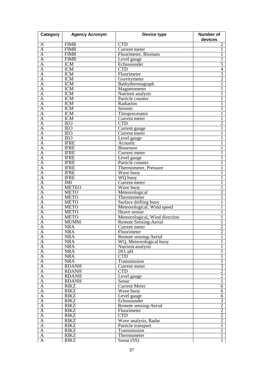| Category                | <b>Agency Acronym</b> | Device type                    | <b>Number of</b><br>devices |
|-------------------------|-----------------------|--------------------------------|-----------------------------|
| A                       | <b>FIMR</b>           | <b>CTD</b>                     | $\overline{2}$              |
| A                       | <b>FIMR</b>           | Current meter                  | 1                           |
| $\overline{A}$          | <b>FIMR</b>           | Fluorimeter, Biomass           |                             |
| $\overline{\rm A}$      | <b>FIMR</b>           | Level gauge                    |                             |
| $\overline{\mathbf{A}}$ | <b>ICM</b>            | Echosounder                    | $\overline{5}$              |
| $\overline{\mathbf{A}}$ | <b>ICM</b>            | <b>CTD</b>                     | $\overline{4}$              |
| A                       | <b>ICM</b>            | Fluorimeter                    | $\overline{3}$              |
| $\overline{\bm{A}}$     | <b>ICM</b>            | Gravitymeter                   | $\overline{2}$              |
| $\overline{\rm A}$      | <b>ICM</b>            | Bathythermograph               |                             |
| $\overline{\mathbf{A}}$ | <b>ICM</b>            | Magnetometer                   |                             |
| A                       | <b>ICM</b>            | Nutrient analysis              | 1                           |
| $\overline{\rm A}$      | <b>ICM</b>            | Particle counter               |                             |
| $\overline{A}$          | <b>ICM</b>            | Radiation                      | 1                           |
| $\overline{A}$          | <b>ICM</b>            | Seismic                        |                             |
| A                       | <b>ICM</b>            | Titroprocesator                |                             |
| $\overline{\rm A}$      | <b>ICM</b>            | Current meter                  | 1                           |
| $\overline{\rm A}$      | <b>IEO</b>            | <b>CTD</b>                     | 2                           |
| $\overline{A}$          | <b>IEO</b>            | Current gauge                  | 1                           |
| A                       | <b>IEO</b>            | Current meter                  | 1                           |
| $\overline{A}$          | <b>IEO</b>            | Level gauge                    |                             |
| $\overline{A}$          | <b>IFRE</b>           | Acoustic                       |                             |
| $\overline{A}$          | <b>IFRE</b>           | <b>Biosensor</b>               |                             |
| Α                       | <b>IFRE</b>           | Current meter                  |                             |
| $\overline{A}$          | <b>IFRE</b>           | Level gauge                    |                             |
| $\overline{\rm A}$      | <b>IFRE</b>           | Particle counter               |                             |
| $\overline{\mathbf{A}}$ | <b>IFRE</b>           | Thermometer, Pressure          |                             |
| $\overline{\mathbf{A}}$ | <b>IFRE</b>           | Wave buoy                      |                             |
| $\overline{A}$          | <b>IFRE</b>           | WQ buoy                        |                             |
| $\overline{\bm{A}}$     | <b>IMI</b>            | Current meter                  |                             |
| $\overline{A}$          | <b>METEO</b>          | Wave buoy                      |                             |
| A                       | <b>METO</b>           | Meteorological                 | $\overline{2}$              |
| A                       | <b>METO</b>           | Thermometer                    | 1                           |
| $\overline{\mathbf{A}}$ | <b>METO</b>           | Surface drifting buoy          |                             |
| $\overline{\mathsf{A}}$ | <b>METO</b>           | Meteorological, Wind speed     |                             |
| A                       | <b>METO</b>           | Heave sensor                   |                             |
| A                       | <b>METO</b>           | Meteorological, Wind direction | 1                           |
| $\overline{A}$          | <b>MUMM</b>           | <b>Remote Sensing-Aerial</b>   |                             |
| $\overline{A}$          | <b>NRA</b>            | Current meter                  | $\overline{2}$              |
| A                       | <b>NRA</b>            | Fluorimeter                    | $\overline{2}$              |
| $\mathbf{A}$            | <b>NRA</b>            | Remote sensing-Aerial          | 1                           |
| $\overline{A}$          | <b>NRA</b>            | WQ, Meteorological buoy        | 1                           |
| $\overline{A}$          | <b>NRA</b>            | Nutrient analysis              | 1                           |
| $\overline{A}$          | <b>NRA</b>            | DO, pH                         | 1                           |
| $\overline{A}$          | <b>NRA</b>            | <b>CTD</b>                     | 1                           |
| $\overline{A}$          | <b>NRA</b>            | Transmission                   | $\mathbf{1}$                |
| $\overline{A}$          | <b>RDANH</b>          | Current meter                  |                             |
| $\overline{A}$          | <b>RDANH</b>          | <b>CTD</b>                     | $rac{3}{2}$                 |
| $\overline{A}$          | <b>RDANH</b>          | Level gauge                    | $\overline{2}$              |
| $\overline{A}$          | <b>RDANH</b>          | Sonar                          | $\overline{1}$              |
| $\overline{A}$          | <b>RIKZ</b>           | <b>Current Meter</b>           | $\overline{6}$              |
| $\overline{A}$          | <b>RIKZ</b>           | Wave buoy                      | $\overline{6}$              |
| $\overline{A}$          | <b>RIKZ</b>           | Level gauge                    | $\overline{6}$              |
| $\overline{A}$          | <b>RIKZ</b>           | Echosounder                    |                             |
| $\overline{A}$          | <b>RIKZ</b>           | Remote sensing-Aerial          | $\frac{3}{2}$               |
| $\overline{A}$          | <b>RIKZ</b>           | Fluorimeter                    |                             |
| $\overline{A}$          | <b>RIKZ</b>           | <b>CTD</b>                     | $\frac{2}{2}$               |
| A                       | <b>RIKZ</b>           | Wave analysis, Radar           | $\overline{2}$              |
| $\overline{A}$          | <b>RIKZ</b>           | Particle transport             | $\mathbf{1}$                |
| $\overline{A}$          | <b>RIKZ</b>           | Transmission                   | $\overline{1}$              |
| $\overline{A}$          | <b>RIKZ</b>           | Thermometer                    | $\overline{1}$              |
| $\overline{A}$          | <b>RIKZ</b>           | Sonar $(SS)$                   | $\mathbf{1}$                |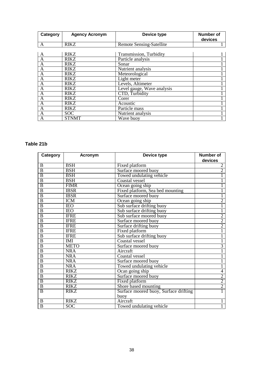| Category       | <b>Agency Acronym</b> | Device type                | Number of<br>devices |
|----------------|-----------------------|----------------------------|----------------------|
| A              | <b>RIKZ</b>           | Remote Sensing-Satellite   |                      |
|                |                       |                            |                      |
| A              | <b>RIKZ</b>           | Transmission, Turbidity    |                      |
| $\mathbf{A}$   | <b>RIKZ</b>           | Particle analysis          |                      |
| $\overline{A}$ | <b>RIKZ</b>           | Sonar                      |                      |
| $\mathbf{A}$   | <b>RIKZ</b>           | Nutrient analysis          |                      |
| $\overline{A}$ | <b>RIKZ</b>           | Meteorological             |                      |
| A              | <b>RIKZ</b>           | Light meter                |                      |
| A              | <b>RIKZ</b>           | Levels, Altimeter          |                      |
| A              | <b>RIKZ</b>           | Level gauge, Wave analysis |                      |
| $\mathbf{A}$   | <b>RIKZ</b>           | CTD, Turbidity             |                      |
| A              | <b>RIKZ</b>           | Corer                      |                      |
| A              | <b>RIKZ</b>           | Acoustic                   |                      |
| A              | <b>RIKZ</b>           | Particle mass              |                      |
| A              | <b>SOC</b>            | Nutrient analysis          |                      |
| A              | <b>STNMT</b>          | Wave buoy                  |                      |

### **Table 21b**

| Category       | Acronym     | Device type                           | <b>Number of</b><br>devices |
|----------------|-------------|---------------------------------------|-----------------------------|
| B              | <b>BSH</b>  | Fixed platform                        | 2                           |
| $\overline{B}$ | <b>BSH</b>  | Surface moored buoy                   | $\overline{2}$              |
| $\overline{B}$ | <b>BSH</b>  | Towed undulating vehicle              | $\mathbf{1}$                |
| $\overline{B}$ | <b>BSH</b>  | Coastal vessel                        |                             |
| $\overline{B}$ | <b>FIMR</b> | Ocean going ship                      | 1                           |
| $\overline{B}$ | <b>IBSR</b> | Fixed platform, Sea bed mounting      | 1                           |
| $\overline{B}$ | <b>IBSR</b> | Surface moored buoy                   |                             |
| $\overline{B}$ | <b>ICM</b>  | Ocean going ship                      | $\overline{2}$              |
| $\overline{B}$ | <b>IEO</b>  | Sub surface drifting buoy             |                             |
| $\overline{B}$ | <b>IEO</b>  | Sub surface drifting buoy             | $\overline{1}$              |
| $\overline{B}$ | <b>IFRE</b> | Sub surface moored buoy               | $\overline{c}$              |
| $\overline{B}$ | <b>IFRE</b> | Surface moored buoy                   | $\overline{2}$              |
| B              | <b>IFRE</b> | Surface drifting buoy                 | $\overline{2}$              |
| $\overline{B}$ | <b>IFRE</b> | Fixed platform                        |                             |
| $\overline{B}$ | <b>IFRE</b> | Sub surface drifting buoy             | $\overline{1}$              |
| $\overline{B}$ | <b>IMI</b>  | Coastal vessel                        | $\overline{1}$              |
| $\overline{B}$ | <b>METO</b> | Surface moored buoy                   | $\overline{3}$              |
| $\overline{B}$ | <b>NRA</b>  | Aircraft                              | 1                           |
| $\overline{B}$ | <b>NRA</b>  | Coastal vessel                        | 1                           |
| $\overline{B}$ | <b>NRA</b>  | Surface moored buoy                   | 1                           |
| $\overline{B}$ | <b>NRA</b>  | Towed undulating vehicle              | $\overline{1}$              |
| $\overline{B}$ | <b>RIKZ</b> | Ocan going ship                       | $\overline{4}$              |
| $\overline{B}$ | <b>RIKZ</b> | Surface moored buoy                   | $\frac{2}{2}$               |
| $\overline{B}$ | <b>RIKZ</b> | Fixed platform                        |                             |
| $\overline{B}$ | <b>RIKZ</b> | Shore based mounting                  | $\overline{2}$              |
| $\overline{B}$ | <b>RIKZ</b> | Surface moored buoy, Surface drifting |                             |
|                |             | buoy                                  |                             |
| B              | <b>RIKZ</b> | Aircraft                              |                             |
| $\overline{B}$ | SOC         | Towed undulating vehicle              |                             |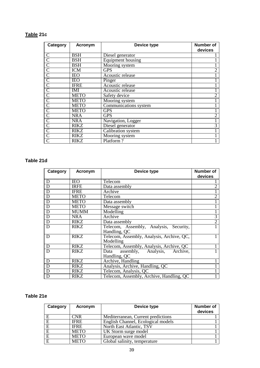# **Table 21c**

| Category              | Acronym     | Device type              | Number of<br>devices |
|-----------------------|-------------|--------------------------|----------------------|
| C                     | BSH         | Diesel generator         |                      |
| $\overline{\text{C}}$ | <b>BSH</b>  | <b>Equipment housing</b> |                      |
| $\overline{C}$        | <b>BSH</b>  | Mooring system           |                      |
| $\overline{C}$        | <b>ICM</b>  | <b>GPS</b>               | 2                    |
| $\overline{C}$        | <b>IEO</b>  | Acoustic release         |                      |
| $\overline{C}$        | <b>IEO</b>  | Pinger                   |                      |
| $\overline{C}$        | <b>IFRE</b> | Acoustic release         |                      |
| $\overline{C}$        | IMI         | Acoustic release         |                      |
|                       | METO        | Safety device            | $\overline{2}$       |
| $\overline{C}$        | <b>METO</b> | Mooring system           |                      |
| $\overline{C}$        | <b>METO</b> | Communications system    |                      |
|                       | <b>METO</b> | <b>GPS</b>               |                      |
| $\overline{C}$        | <b>NRA</b>  | <b>GPS</b>               | $\overline{2}$       |
| $\mathcal{C}$         | <b>NRA</b>  | Navigation, Logger       |                      |
|                       | <b>RIKZ</b> | Diesel generator         | $\overline{3}$       |
| $\overline{C}$        | <b>RIKZ</b> | Calibration system       |                      |
|                       | <b>RIKZ</b> | Mooring system           |                      |
|                       | <b>RIKZ</b> | Platform?                |                      |

## **Table 21d**

| Category       | Acronym     | Device type                                            | Number of<br>devices |
|----------------|-------------|--------------------------------------------------------|----------------------|
| D              | <b>IEO</b>  | Telecom                                                |                      |
| D              | <b>IRFE</b> | Data assembly                                          | $\overline{2}$       |
| $\overline{D}$ | <b>IFRE</b> | Archive                                                |                      |
| $\overline{D}$ | <b>METO</b> | <b>Telecom</b>                                         | $\overline{2}$       |
| $\overline{D}$ | <b>METO</b> | Data assembly                                          |                      |
| D              | <b>METO</b> | Message switch                                         |                      |
| D              | <b>MUMM</b> | Modelling                                              |                      |
| $\overline{D}$ | <b>NRA</b>  | Archive                                                | $\overline{3}$       |
| $\overline{D}$ | RIKZ        | Data assembly                                          | $\overline{2}$       |
| $\overline{D}$ | <b>RIKZ</b> | Telecom, Assembly, Analysis, Security,<br>Handling, QC |                      |
| D              | RIKZ        | Telecom, Assembly, Analysis, Archive, OC,<br>Modelling |                      |
| D              | <b>RIKZ</b> | Telecom, Assembly, Analysis, Archive, QC               |                      |
| D              | RIKZ        | assembly, Analysis, Archive,<br>Data<br>Handling, QC   |                      |
| D              | <b>RIKZ</b> | Archive, Handling                                      |                      |
| D              | RIKZ        | Analysis, Archive, Handling, QC                        |                      |
| D              | <b>RIKZ</b> | Telecom, Analysis, QC                                  |                      |
| D              | <b>RIKZ</b> | Telecom, Assembly, Archive, Handling, QC               |                      |

# **Table 21e**

| Category | Acronym     | Device type                        | <b>Number of</b><br>devices |
|----------|-------------|------------------------------------|-----------------------------|
| E        | CNR         | Mediterranean, Current predictions |                             |
| Е        | <b>IFRE</b> | English Channel, Ecological models |                             |
| E        | <b>IFRE</b> | North East Atlantic, TSV           |                             |
| E        | <b>METO</b> | UK Storm surge model               |                             |
| E        | <b>METO</b> | European wave model                |                             |
| E        | <b>METO</b> | Global salinity, temperature       |                             |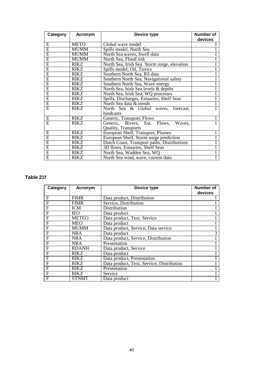| Category       | <b>Acronym</b> | Device type                                 | <b>Number of</b> |
|----------------|----------------|---------------------------------------------|------------------|
|                |                |                                             | devices          |
| E              | <b>METO</b>    | Global wave model                           |                  |
| $\overline{E}$ | <b>MUMM</b>    | Spills model, North Sea                     |                  |
| E              | <b>MUMM</b>    | North Sea waves, Swell data                 |                  |
| E              | <b>MUMM</b>    | North Sea, Flood risk                       |                  |
| $\overline{E}$ | <b>RIKZ</b>    | North Sea, Irish Sea Storm surge, elevation |                  |
| E              | <b>RIKZ</b>    | Spills model, Oil, Toxics                   |                  |
| E              | <b>RIKZ</b>    | Southern North Sea, RS data                 |                  |
| E              | <b>RIKZ</b>    | Southern North Sea, Navigational safety     |                  |
| $\overline{E}$ | <b>RIKZ</b>    | Southern North Sea, Wave energy             |                  |
| $\overline{E}$ | <b>RIKZ</b>    | North Sea, Irish Sea levels & depths        |                  |
| $\overline{E}$ | <b>RIKZ</b>    | North Sea, Irish Sea, WQ processes          |                  |
| $\overline{E}$ | <b>RIKZ</b>    | Spills, Discharges, Estuaries, Shelf Seas   |                  |
| $\overline{E}$ | <b>RIKZ</b>    | North Sea data & trends                     |                  |
| Ε              | <b>RIKZ</b>    | North Sea & Global waves, forecast,         |                  |
|                |                | hindcasts                                   |                  |
| E              | <b>RIKZ</b>    | Generic, Transport, Flows                   |                  |
| $\overline{E}$ | <b>RIKZ</b>    | Generic, Rivers, Est. Flows,<br>Waves,      |                  |
|                |                | <b>Quality, Transports</b>                  |                  |
| E              | <b>RIKZ</b>    | European Shelf, Transport, Plumes           |                  |
| $\overline{E}$ | <b>RIKZ</b>    | European Shelf, Storm surge prediction      |                  |
| E              | <b>RIKZ</b>    | Dutch Coast, Transport paths, Distributions |                  |
| $\overline{E}$ | <b>RIKZ</b>    | 3D flows, Estuaries, Shelf Seas             |                  |
| $\overline{E}$ | <b>RIKZ</b>    | North Sea, Wadden Sea, WQ                   |                  |
| E              | <b>RIKZ</b>    | North Sea wind, wave, current data          |                  |

**Table 21f**

| Category | Acronym      | Device type                               | <b>Number of</b><br>devices |
|----------|--------------|-------------------------------------------|-----------------------------|
| F        | <b>FIMR</b>  | Data product, Distribution                |                             |
| F        | <b>FIMR</b>  | Service, Distribution                     |                             |
| F        | <b>ICM</b>   | Distribution                              |                             |
| F        | <b>IEO</b>   | Data product                              |                             |
| F        | <b>METEO</b> | Data product, Text, Service               |                             |
| F        | <b>MEO</b>   | Data product                              |                             |
| F        | <b>MUMM</b>  | Data product, Service, Data service       |                             |
| F        | NR A         | Data product                              | 3                           |
| F        | <b>NRA</b>   | Data product, Service, Distribution       |                             |
| F        | NRA          | Presentation                              |                             |
| F        | <b>RDANH</b> | Data product, Service                     |                             |
| F        | <b>RIKZ</b>  | Data product                              |                             |
| F        | <b>RIKZ</b>  | Data product, Presentation                |                             |
| F        | <b>RIKZ</b>  | Data product, Text, Service, Distribution |                             |
| F        | <b>RIKZ</b>  | Presentation                              |                             |
| F        | RIKZ         | Service                                   |                             |
| F        | <b>STNMT</b> | Data product                              |                             |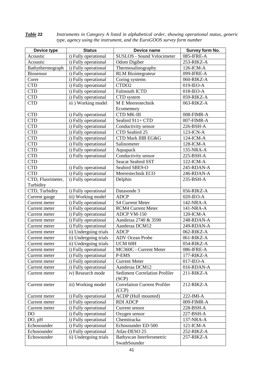*Table* **22** *Instruments in Category A listed in alphabetical order, showing operational status, generic type, agency using the instrument, and the EuroGOOS survey form number*

| Device type       | <b>Status</b>         | Device name                          | Survey form No. |
|-------------------|-----------------------|--------------------------------------|-----------------|
| Acoustic          | i) Fully operational  | <b>SUSLOS - Sound Velocimeter</b>    | 085-IFRE-A      |
| Acoustic          | i) Fully operational  | Odom Digiber                         | 253-RIKZ-A      |
| Bathythermograph  | i) Fully operational  | Thermosalinography                   | 126-ICM-A       |
| Biosensor         | i) Fully operational  | <b>RLM</b> Biointegrateur            | 099-IFRE-A      |
| Corer             | i) Fully operational  | Coring systems                       | 060-RIKZ-A      |
| <b>CTD</b>        | i) Fully operational  | CTDO <sub>2</sub>                    | $019$ -IEO-A    |
| <b>CTD</b>        | i) Fully operational  | <b>Falmouth ICTD</b>                 | 018-IEO-A       |
| <b>CTD</b>        | i) Fully operational  | CTD system                           | 059-RIKZ-A      |
| <b>CTD</b>        | iii) Working model    | M E Meerestechnik                    | 063-RIKZ-A      |
|                   |                       | Ecomemory                            |                 |
| <b>CTD</b>        | i) Fully operational  | <b>CTD MK-III</b>                    | 008-FIMR-A      |
| <b>CTD</b>        | i) Fully operational  | Seabird 911+ CTD                     | 007-FIMR-A      |
| <b>CTD</b>        | i) Fully operational  | Conductivity sensor                  | 226-BSH-A       |
| <b>CTD</b>        | i) Fully operational  | CTD Seabird 25                       | 123-ICN-A       |
| <b>CTD</b>        | i) Fully operational  | CTD Mark IIIB EG&G                   | 124-ICM-A       |
| <b>CTD</b>        | i) Fully operational  | Salinometer                          | 128-ICM-A       |
| <b>CTD</b>        | i) Fully operational  | Aquapack                             | 135-NRA-A       |
| <b>CTD</b>        | i) Fully operational  | Conductivity sensor                  | 225-BSH-A       |
| <b>CTD</b>        |                       | <b>Seacat Seabird SST</b>            | 122-ICM-A       |
| <b>CTD</b>        | i) Fully operational  | Seabird SBE9-O                       | 245-RDAN-A      |
| <b>CTD</b>        | i) Fully operational  | Meerestechnik ECO                    | 246-RDAN-A      |
| CTD, Fluorimeter, | i) Fully operational  | Delphin                              | 235-BSH-A       |
| Turbidity         |                       |                                      |                 |
| CTD, Turbidity    | i) Fully operational  | Datasonde 3                          | 056-RIKZ-A      |
| Current gauge     | iii) Working model    | <b>ADCP</b>                          | $020$ -IEO-A    |
| Current meter     | i) Fully operational  | <b>S4 Current Meter</b>              | 142-NRA-A       |
| Current meter     | i) Fully operational  | <b>RCM4 Current Meter</b>            | 141-NRA-A       |
| Current meter     | i) Fully operational  | ADCP VM-150                          | 120-ICM-A       |
| Current meter     | i) Fully operational  | Aanderaa 2740 & 3590                 | 248-RDAN-A      |
| Current meter     | i) Fully operational  | Aanderaa DCM12                       | 249-RDAN-A      |
| Current meter     | ii) Undergoing trials | <b>ADCP</b>                          | 062-RIKZ-A      |
| Current meter     | ii) Undergoing trials | <b>ADV</b> Ocean Probe               | 061-RIKZ-A      |
| Current meter     | ii) Undergoing trials | UCM 60H                              | 054-RIKZ-A      |
| Current meter     | i) Fully operational  | MC360C - Current Meter               | 086-IFRE-A      |
| Current meter     | i) Fully operational  | P-EMS                                | 177-RIKZ-A      |
| Current meter     | i) Fully operational  | <b>Current Meter</b>                 | $017$ -IEO-A    |
| Current meter     | i) Fully operational  | Aanderaa DCM12                       | 016-RDAN-A      |
| Current meter     | iv) Research mode     | <b>Sediment Correlation Profiler</b> | 211-RIKZ-A      |
|                   |                       | (SCP)                                |                 |
| Current meter     | iii) Working model    | <b>Correlation Current Profiler</b>  | 212-RIKZ-A      |
|                   |                       | (CCP)                                |                 |
| Current meter     | i) Fully operational  | ACDP (Hull mounted)                  | 222-IMI-A       |
| Current meter     | i) Fully operational  | <b>RDI ADCP</b>                      | 009-FIMR-A      |
| Current meter     | i) Fully operational  | Current sensor                       | 228-BSH-A       |
| D <sub>O</sub>    | i) Fully operational  | Oxygen sensor                        | 227-BSH-A       |
| DO, pH            | i) Fully operational  | Chemitracka                          | 137-NRA-A       |
| Echosounder       | i) Fully operational  | Echosounder ED-500                   | 121-ICM-A       |
| Echosounder       | i) Fully operational  | Atlas-DESO 25                        | 252-RIKZ-A      |
| Echosounder       | ii) Undergoing trials | Bathyscan Interferometric            | 257-RIKZ-A      |
|                   |                       | SwathSounder                         |                 |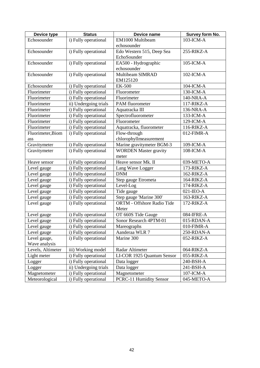| Device type       | <b>Status</b>         | Device name                  | Survey form No. |
|-------------------|-----------------------|------------------------------|-----------------|
| Echosounder       | i) Fully operational  | EM1000 Multibeam             | 103-ICM-A       |
|                   |                       | echosounder                  |                 |
| Echosounder       | i) Fully operational  | Edo Western 515, Deep Sea    | 255-RIKZ-A      |
|                   |                       | EchoSounder                  |                 |
| Echosounder       | i) Fully operational  | EA500 - Hydrographic         | 105-ICM-A       |
|                   |                       | echosounder                  |                 |
| Echosounder       | i) Fully operational  | Multibeam SIMRAD             | 102-ICM-A       |
|                   |                       | EM125120                     |                 |
| Echosounder       | i) Fully operational  | <b>EK-500</b>                | 104-ICM-A       |
| Fluorimeter       | i) Fully operational  | Fluorometer                  | 130-ICM-A       |
| Fluorimeter       | i) Fully operational  | Fluorimeter                  | 140-NRA-A       |
| Fluorimeter       | ii) Undergoing trials | PAM fluorometer              | 117-RIKZ-A      |
| Fluorimeter       | i) Fully operational  | Aquatracka III               | 136-NRA-A       |
| Fluorimeter       | i) Fully operational  | Spectrofluorometer           | 133-ICM-A       |
| Fluorimeter       | i) Fully operational  | Fluorometer                  | 129-ICM-A       |
| Fluorimeter       | i) Fully operational  | Aquatracka, fluorometer      | 116-RIKZ-A      |
| Fluorimeter, Biom | i) Fully operational  | Flow-through                 | 012-FIMR-A      |
| ass               |                       | chlorophyllmeasurement       |                 |
| Gravitymeter      | i) Fully operational  | Marine gravitymeter BGM-3    | 109-ICM-A       |
| Gravitymeter      | i) Fully operational  | <b>WORDEN</b> Master gravity | 108-ICM-A       |
|                   |                       | meter                        |                 |
| Heave sensor      | i) Fully operational  | Heave sensor Mk. II          | 039-METO-A      |
| Level gauge       | i) Fully operational  | Lang Wave Logger             | 173-RIKZ-A      |
| Level gauge       | i) Fully operational  | <b>DNM</b>                   | 162-RIKZ-A      |
| Level gauge       | i) Fully operational  | Step gauge Etrometa          | 164-RIKZ-A      |
| Level gauge       | i) Fully operational  | Level-Log                    | 174-RIKZ-A      |
| Level gauge       | i) Fully operational  | Tide gauge                   | $021$ -IEO-A    |
| Level gauge       | i) Fully operational  | Step gauge 'Marine 300'      | 163-RIKZ-A      |
| Level gauge       | i) Fully operational  | ORTM - Offshore Radio Tide   | 172-RIKZ-A      |
|                   |                       | Meter                        |                 |
| Level gauge       | i) Fully operational  | OT 660S Tide Gauge           | 084-IFRE-A      |
| Level gauge       | i) Fully operational  | Sonor Research 4PTM-01       | 015-RDAN-A      |
| Level gauge       | i) Fully operational  | Mareographs                  | 010-FIMR-A      |
| Level gauge       | i) Fully operational  | Aanderaa WLR 7               | 250-RDAN-A      |
| Level gauge,      | i) Fully operational  | Marine 300                   | 052-RIKZ-A      |
| Wave analysis     |                       |                              |                 |
| Levels, Altimeter | iii) Working model    | Radar Altimeter              | 064-RIKZ-A      |
| Light meter       | i) Fully operational  | LI-COR 1925 Quantum Sensor   | 055-RIKZ-A      |
| Logger            | i) Fully operational  | Data logger                  | 240-BSH-A       |
| Logger            | ii) Undergoing trials | Data logger                  | 241-BSH-A       |
| Magnetometer      | i) Fully operational  | Magnetometer                 | $107$ -ICM-A    |
| Meteorological    | i) Fully operational  | PCRC-11 Humidity Sensor      | 045-METO-A      |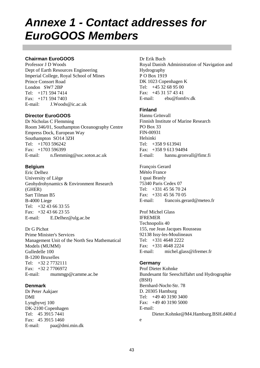# *Annexe 1 - Contact addresses for EuroGOOS Members*

#### **Chairman EuroGOOS**

Professor J D Woods Dept of Earth Resources Engineering Imperial College, Royal School of Mines Prince Consort Road London SW7 2BP Tel: +171 594 7414 Fax: +171 594 7403 E-mail: J.Woods@ic.ac.uk

#### **Director EuroGOOS**

Dr Nicholas C Flemming Room 346/01, Southampton Oceanography Centre Empress Dock, European Way Southampton SO14 3ZH Tel: +1703 596242 Fax: +1703 596399 E-mail: n.flemming@soc.soton.ac.uk

#### **Belgium**

Eric Delhez University of Liège Geohydrohynamics & Environment Research (GHER) Sart Tilman B5 B-4000 Liege Tel: +32 43 66 33 55 Fax: +32 43 66 23 55 E-mail: E.Delhez@ulg.ac.be

Dr G Pichot Prime Minister's Services Management Unit of the North Sea Mathematical Models (MUMM) Gulledelle 100 B-1200 Bruxelles Tel: +32 2 7732111 Fax: +32 2 7706972 E-mail: mummgp@camme.ac.be

#### **Denmark**

Dr Peter Aakjaer DMI Lyngbyvej 100 DK-2100 Copenhagen Tel: 45 3915 7441 Fax: 45 3915 1460 E-mail: paa@dmi.min.dk

Dr Erik Buch Royal Danish Administration of Navigation and Hydrography P O Box 1919 DK 1023 Copenhagen K Tel: +45 32 68 95 00 Fax: +45 31 57 43 41 E-mail: ebu@fomfrv.dk

#### **Finland**

Hannu Grönvall Finnish Institute of Marine Research PO Box 33 FIN-00931 Helsinki  $Tel: +3589613941$ Fax: +358 9 613 94494 E-mail: hannu.gronvall@fimr.fi

François Gerard Météo France 1 quai Branly 75340 Paris Cedex 07 Tel: +331 45 56 70 24 Fax: +331 45 56 70 05 E-mail: francois.gerard@meteo.fr

Prof Michel Glass IFREMER Technopolis 40 155, rue Jean Jacques Rousseau 92138 Issy-les-Moulineaux Tel: +331 4648 2222 Fax: +331 4648 2224 E-mail: michel.glass@ifremer.fr

#### **Germany**

Prof Dieter Kohnke Bundesamt für Seeschiffahrt und Hydrographie (BSH) Bernhard-Nocht-Str. 78 D. 20305 Hamburg Tel: +49 40 3190 3400 Fax: +49 40 3190 5000 E-mail: Dieter.Kohnke@M4.Hamburg.BSH.d400.d e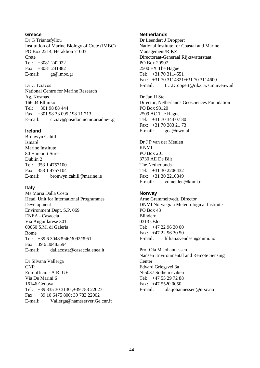#### **Greece**

Dr G Triantafyllou Institution of Marine Biology of Crete (IMBC) PO Box 2214, Heraklion 71003 Crete Tel: +3081 242022 Fax: +3081 241882 E-mail: gt@imbc.gr

Dr C Tziavos National Centre for Marine Research Ag. Kosmas 166 04 Elliniko Tel: +301 98 88 444 Fax: +301 98 33 095 / 98 11 713 E-mail: ctziav@posidon.ncmr.ariadne-t.gr

#### **Ireland**

Bronwyn Cahill Ismaré Marine Institute 80 Harcourt Street Dublin 2 Tel: 353 1 4757100 Fax: 353 1 4757104 E-mail: bronwyn.cahill@marine.ie

#### **Italy**

Ms Maria Dalla Costa Head, Unit for International Programmes Development Environment Dept. S.P. 069 ENEA - Casaccia Via Anguillarese 301 00060 S.M. di Galeria Rome Tel: +39 6 30483946/3092/3951 Fax: 39 6 30483594 E-mail: dallacosta@casaccia.enea.it

Dr Silvana Vallerga CNR Euroufficio - A RI GE Via De Marini 6 16146 Genova Tel: +39 335 30 3130 ,+39 783 22027 Fax: +39 10 6475 800; 39 783 22002 E-mail: Vallerga@nameserver.Ge.cnr.it

#### **Netherlands**

Dr Leendert J Droppert National Institute for Coastal and Marine Management/RIKZ Directoraat-Generaal Rijkswaterstaat PO Box 20907 2500 EX The Hague Tel: +31 70 3114551 Fax: +31 70 3114321/+31 70 3114600 E-mail: L.J.Droppert@rikz.rws.minvenw.nl

Dr Jan H Stel Director, Netherlands Geosciences Foundation PO Box 93120 2509 AC The Hague  $Tel: +31,70,344,07,80$ Fax: +31 70 383 21 73 E-mail: goa@nwo.nl

Dr J P van der Meulen KNMI PO Box 201 3730 AE De Bilt The Netherlands Tel: +31 30 2206432 Fax: +31 30 2210849 E-mail: vdmeulen@knmi.nl

#### **Norway**

Arne Grammeltvedt, Director DNMI Norwegian Meteorological Institute PO Box 43 Blindern 0313 Oslo Tel: +47 22 96 30 00  $Fax: +47, 22, 96, 30, 50$ E-mail: lillian.svendsen@dnmi.no

Prof Ola M Johannessen Nansen Environmental and Remote Sensing **Center** Edvard Griegsvei 3a N-5037 Solheimsviken Tel: +47 55 29 72 88 Fax: +47 5520 0050 E-mail: ola.johannessen@nrsc.no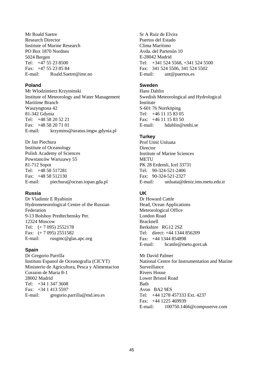Mr Roald Saetre Research Director Institute of Marine Research PO Box 1870 Nordnes 5024 Bergen Tel: +47 55 23 8500 Fax: +47 55 23 85 84 E-mail: Roald.Saetre@imr.no

#### **Poland**

Mr Wlodzimierz Krzyminski Institute of Meteorology and Water Management Maritime Branch Waszyngtona 42 81-342 Gdynia Tel:  $+48,58,20,52,21$ Fax: +48 58 20 71 01 E-mail: krzymins@stratus.imgw.gdynia.pl

Dr Jan Piechura Institute of Oceanology Polish Academy of Sciences Powstanców Warszawy 55 81-712 Sopot Tel: +48 58 517281 Fax: +48 58 512130 E-mail: piechura@ocean.iopan.gda.pl

#### **Russia**

Dr Vladimir E Ryabinin Hydrometeorological Centre of the Russian Federation 9-13 Bolshoy Predtechensky Per. 12324 Moscow Tel: (+ 7 095) 2552178 Fax: (+ 7 095) 2551582 E-mail: rusgmc@glas.apc.org

#### **Spain**

Dr Gregorio Parrilla Instituto Espanol de Oceanografia (CICYT) Ministerio de Agricultura, Pesca y Alimentacion Corazon de Maria 8-1 28002 Madrid  $Tel: +3413473608$ Fax: +34 1 413 5597 E-mail: gregorio.parrilla@md.ieo.es

Sr A Ruiz de Elvira Puertos del Estado Clima Marítimo Avda. del Partenón 10 E-28042 Madrid Tel: +341 524 5568, +341 524 5500 Fax: 341 524 5506, 341 524 5502 E-mail: ant@puertos.es

## **Sweden**

Hans Dahlin Swedish Meteorological and Hydrological Institute S-601 76 Norrköping Tel: +46 11 15 83 05  $Fax: +4611158350$ E-mail: hdahlin@smhi.se

#### **Turkey**

Prof Umit Unluata **Director** Institute of Marine Sciences **METU** PK 28 Erdemli, Icel 33731 Tel: 90-324-521-2406 Fax: 90-324-521-2327 E-mail: unluata@deniz.ims.metu.edu.tr

#### **UK**

Dr Howard Cattle Head, Ocean Applications Meteorological Office London Road Bracknell Berkshire RG12 2SZ Tel: direct: +44 1344 856209 Fax: +44 1344 854898 E-mail: hcattle@meto.govt.uk

Mr David Palmer National Centre for Instrumentation and Marine Surveillance Rivers House Lower Bristol Road Bath Avon BA2 9ES Tel: +44 1278 457333 Ext. 4237 Fax: +44 1225 469939 E-mail: 100750.1466@compuserve.com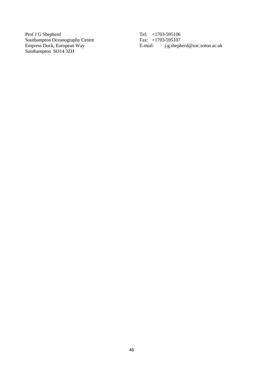Prof J G Shepherd Southampton Oceanography Centre Empress Dock, European Way Southampton SO14 3ZH

Tel: +1703-595106 Fax: +1703-595107 E-mail: j.g.shepherd@soc.soton.ac.uk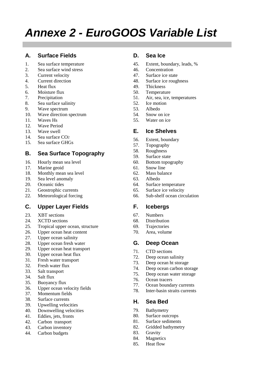# *Annexe 2 - EuroGOOS Variable List*

# **A. Surface Fields**

- 1. Sea surface temperature
- 2. Sea surface wind stress
- 3. Current velocity
- 4. Current direction
- 5. Heat flux
- 6. Moisture flux
- 7. Precipitation
- 8. Sea surface salinity
- 9. Wave spectrum
- 10. Wave direction spectrum
- 11. Waves Hs
- 12. Wave Period
- 13. Wave swell
- 14. Sea surface CO2
- 15. Sea surface GHGs

# **B. Sea Surface Topography**

- 16. Hourly mean sea level
- 17. Marine geoid
- 18. Monthly mean sea level
- 19. Sea level anomaly
- 20. Oceanic tides
- 21. Geostrophic currents
- 22. Meteorological forcing

# **C. Upper Layer Fields**

- 23. XBT sections
- 24. XCTD sections
- 25. Tropical upper ocean, structure
- 26. Upper ocean heat content
- 27. Upper ocean salinity
- 28. Upper ocean fresh water
- 29. Upper ocean heat transport
- 30. Upper ocean heat flux
- 31. Fresh water transport
- 32. Fresh water flux
- 33. Salt transport
- 34. Salt flux
- 35. Buoyancy flux
- 36. Upper ocean velocity fields
- 37. Momentum fields
- 38. Surface currents
- 39. Upwelling velocities
- 40. Downwelling velocities
- 41. Eddies, jets, fronts
- 42. Carbon transport
- 43. Carbon inventory
- 44. Carbon budgets

### **D. Sea Ice**

- 45. Extent, boundary, leads, %
- 46. Concentration
- 47. Surface ice state
- 48. Surface ice roughness
- 49. Thickness
- 50. Temperature
- 51. Air, sea, ice, temperatures
- 52. Ice motion
- 53. Albedo
- 54. Snow on ice
- 55. Water on ice

# **E. Ice Shelves**

- 56. Extent, boundary
- 57. Topography
- 58. Roughness
- 59. Surface state
- 60. Bottom topography
- 61. Snow line
- 62. Mass balance
- 63. Albedo
- 64. Surface temperature
- 65. Surface ice velocity
- 66. Sub-shelf ocean circulation

#### **F. Icebergs**

- 67. Numbers
- 68. Distribution
- 69. Trajectories
- 70. Area, volume

# **G. Deep Ocean**

- 71. CTD sections
- 72. Deep ocean salinity
- 73. Deep ocean ht storage
- 74. Deep ocean carbon storage
- 75. Deep ocean water storage
- 76. Ocean tracers
- 77. Ocean boundary currents
- 78. Inter-basin straits currents

# **H. Sea Bed**

- 79. Bathymetry
- 80. Surface outcrops
- 81. Surface sediments
- 82. Gridded bathymetry
- 83. Gravity
- 84. Magnetics
- 85. Heat flow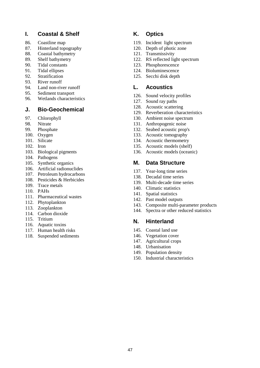### **I. Coastal & Shelf**

- 86. Coastline map
- 87. Hinterland topography
- 88. Coastal bathymetry
- 89. Shelf bathymetry
- 90. Tidal constants
- 91. Tidal ellipses
- 92. Stratification
- 93. River runoff
- 94. Land non-river runoff
- 95. Sediment transport
- 96. Wetlands characteristics

### **J. Bio-Geochemical**

- 97. Chlorophyll
- 98. Nitrate
- 99. Phosphate
- 100. Oxygen
- 101. Silicate
- 102. Iron
- 103. Biological pigments
- 104. Pathogens
- 105. Synthetic organics
- 106. Artificial radionuclides
- 107. Petroleum hydrocarbons
- 108. Pesticides & Herbicides
- 109. Trace metals
- 110. PAHs
- 111. Pharmaceutical wastes
- 112. Phytoplankton
- 113. Zooplankton
- 114. Carbon dioxide
- 115. Tritium
- 116. Aquatic toxins
- 117. Human health risks
- 118. Suspended sediments

# **K. Optics**

- 119. Incident light spectrum
- 120. Depth of photic zone
- 121. Transmissivity
- 122. RS reflected light spectrum
- 123. Phosphorescence
- 124. Bioluminescence
- 125. Secchi disk depth

#### **L. Acoustics**

- 126. Sound velocity profiles
- 127. Sound ray paths
- 128. Acoustic scattering
- 129. Reverberation characteristics
- 130. Ambient noise spectrum
- 131. Anthropogenic noise
- 132. Seabed acoustic prop's
- 133. Acoustic tomography
- 134. Acoustic thermometry
- 135. Acoustic models (shelf)
- 136. Acoustic models (oceanic)

#### **M. Data Structure**

- 137. Year-long time series
- 138. Decadal time series
- 139. Multi-decade time series
- 140. Climatic statistics
- 141. Spatial statistics
- 142. Past model outputs
- 143. Composite multi-parameter products
- 144. Spectra or other reduced statistics

#### **N. Hinterland**

- 145. Coastal land use
- 146. Vegetation cover
- 147. Agricultural crops
- 148. Urbanisation
- 149. Population density
- 150. Industrial characteristics